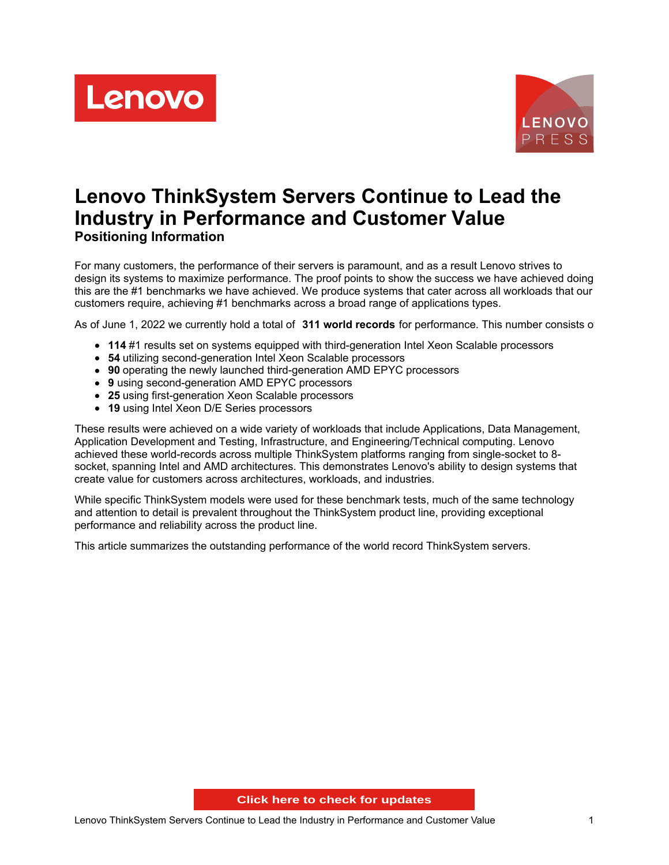Lenovo



# **Lenovo ThinkSystem Servers Continue to Lead the Industry in Performance and Customer Value Positioning Information**

For many customers, the performance of their servers is paramount, and as a result Lenovo strives to design its systems to maximize performance. The proof points to show the success we have achieved doing this are the #1 benchmarks we have achieved. We produce systems that cater across all workloads that our customers require, achieving #1 benchmarks across a broad range of applications types.

As of June 1, 2022 we currently hold a total of **311 world records** for performance. This number consists of:

- **114** #1 results set on systems equipped with third-generation Intel Xeon Scalable processors
- **54** utilizing second-generation Intel Xeon Scalable processors
- **90** operating the newly launched third-generation AMD EPYC processors
- **9** using second-generation AMD EPYC processors
- **25** using first-generation Xeon Scalable processors
- **19** using Intel Xeon D/E Series processors

These results were achieved on a wide variety of workloads that include Applications, Data Management, Application Development and Testing, Infrastructure, and Engineering/Technical computing. Lenovo achieved these world-records across multiple ThinkSystem platforms ranging from single-socket to 8 socket, spanning Intel and AMD architectures. This demonstrates Lenovo's ability to design systems that create value for customers across architectures, workloads, and industries.

While specific ThinkSystem models were used for these benchmark tests, much of the same technology and attention to detail is prevalent throughout the ThinkSystem product line, providing exceptional performance and reliability across the product line.

This article summarizes the outstanding performance of the world record ThinkSystem servers.

**Click here to check for updates**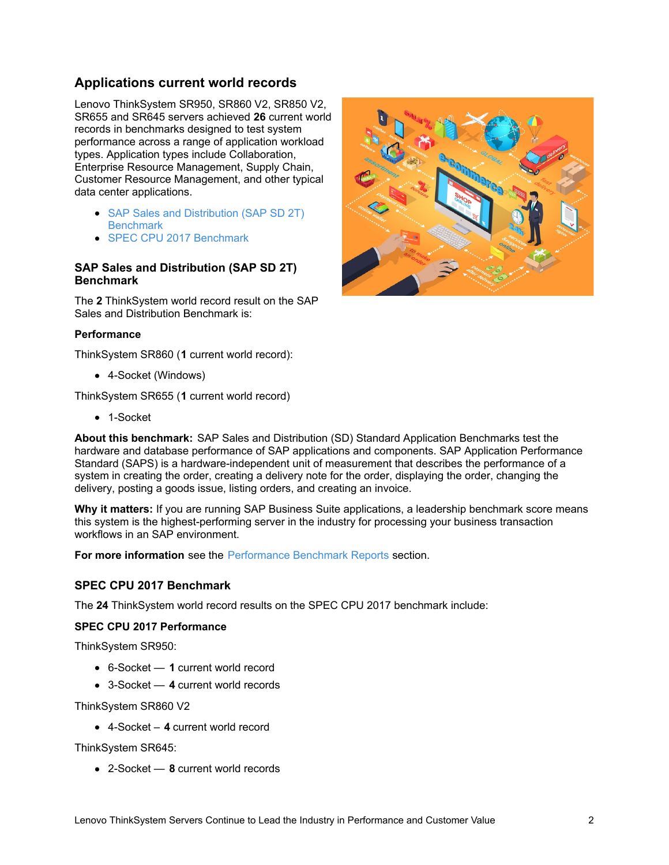# **Applications current world records**

Lenovo ThinkSystem SR950, SR860 V2, SR850 V2, SR655 and SR645 servers achieved **26** current world records in benchmarks designed to test system performance across a range of application workload types. Application types include Collaboration, Enterprise Resource Management, Supply Chain, Customer Resource Management, and other typical data center applications.

- SAP Sales and [Distribution](#page-1-0) (SAP SD 2T) **Benchmark**
- SPEC CPU 2017 [Benchmark](#page-1-1)

#### <span id="page-1-0"></span>**SAP Sales and Distribution (SAP SD 2T) Benchmark**

The **2** ThinkSystem world record result on the SAP Sales and Distribution Benchmark is:

#### **Performance**

ThinkSystem SR860 (**1** current world record):

4-Socket (Windows)

ThinkSystem SR655 (**1** current world record)

• 1-Socket

**About this benchmark:** SAP Sales and Distribution (SD) Standard Application Benchmarks test the hardware and database performance of SAP applications and components. SAP Application Performance Standard (SAPS) is a hardware-independent unit of measurement that describes the performance of a system in creating the order, creating a delivery note for the order, displaying the order, changing the delivery, posting a goods issue, listing orders, and creating an invoice.

**Why it matters:** If you are running SAP Business Suite applications, a leadership benchmark score means this system is the highest-performing server in the industry for processing your business transaction workflows in an SAP environment.

**For more information** see the [Performance](#page-14-0) Benchmark Reports section.

### <span id="page-1-1"></span>**SPEC CPU 2017 Benchmark**

The **24** ThinkSystem world record results on the SPEC CPU 2017 benchmark include:

#### **SPEC CPU 2017 Performance**

ThinkSystem SR950:

- 6-Socket **1** current world record
- 3-Socket **4** current world records

ThinkSystem SR860 V2

4-Socket – **4** current world record

ThinkSystem SR645:

2-Socket — **8** current world records

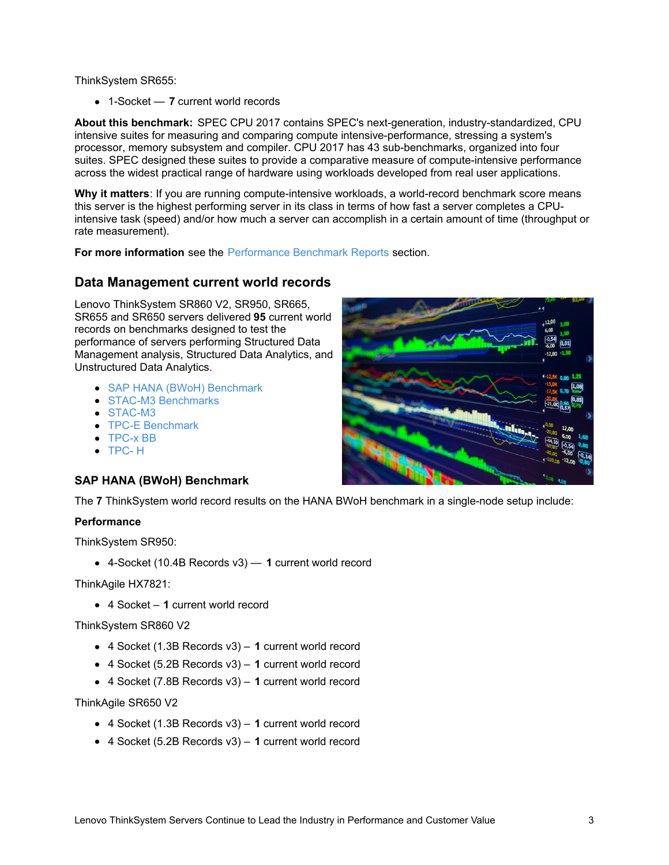ThinkSystem SR655:

1-Socket — **7** current world records

**About this benchmark:** SPEC CPU 2017 contains SPEC's next-generation, industry-standardized, CPU intensive suites for measuring and comparing compute intensive-performance, stressing a system's processor, memory subsystem and compiler. CPU 2017 has 43 sub-benchmarks, organized into four suites. SPEC designed these suites to provide a comparative measure of compute-intensive performance across the widest practical range of hardware using workloads developed from real user applications.

**Why it matters**: If you are running compute-intensive workloads, a world-record benchmark score means this server is the highest performing server in its class in terms of how fast a server completes a CPUintensive task (speed) and/or how much a server can accomplish in a certain amount of time (throughput or rate measurement).

**For more information** see the [Performance](#page-14-0) Benchmark Reports section.

### **Data Management current world records**

Lenovo ThinkSystem SR860 V2, SR950, SR665, SR655 and SR650 servers delivered **95** current world records on benchmarks designed to test the performance of servers performing Structured Data Management analysis, Structured Data Analytics, and Unstructured Data Analytics.

- SAP HANA (BWoH) [Benchmark](#page-2-0)
- STAC-M3 [Benchmarks](#page-3-0)
- [STAC-M3](#page-3-1)
- TPC-E [Benchmark](#page-3-2)
- [TPC-x](#page-4-0) BB
- $\bullet$  [TPC-](#page-4-1)H

#### <span id="page-2-0"></span>**SAP HANA (BWoH) Benchmark**

The **7** ThinkSystem world record results on the HANA BWoH benchmark in a single-node setup include:

#### **Performance**

ThinkSystem SR950:

4-Socket (10.4B Records v3) — **1** current world record

ThinkAgile HX7821:

4 Socket – **1** current world record

ThinkSystem SR860 V2

- 4 Socket (1.3B Records v3) **1** current world record
- 4 Socket (5.2B Records v3) **1** current world record
- 4 Socket (7.8B Records v3) **1** current world record

ThinkAgile SR650 V2

- 4 Socket (1.3B Records v3) **1** current world record
- 4 Socket (5.2B Records v3) **1** current world record

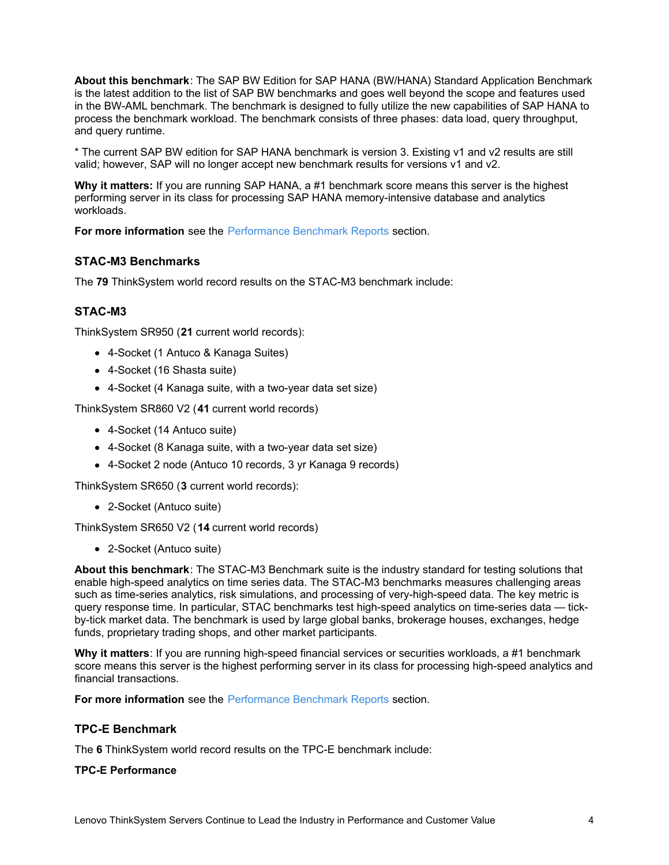**About this benchmark**: The SAP BW Edition for SAP HANA (BW/HANA) Standard Application Benchmark is the latest addition to the list of SAP BW benchmarks and goes well beyond the scope and features used in the BW-AML benchmark. The benchmark is designed to fully utilize the new capabilities of SAP HANA to process the benchmark workload. The benchmark consists of three phases: data load, query throughput, and query runtime.

\* The current SAP BW edition for SAP HANA benchmark is version 3. Existing v1 and v2 results are still valid; however, SAP will no longer accept new benchmark results for versions v1 and v2.

**Why it matters:** If you are running SAP HANA, a #1 benchmark score means this server is the highest performing server in its class for processing SAP HANA memory-intensive database and analytics workloads.

**For more information** see the [Performance](#page-14-0) Benchmark Reports section.

### <span id="page-3-0"></span>**STAC-M3 Benchmarks**

The **79** ThinkSystem world record results on the STAC-M3 benchmark include:

#### <span id="page-3-1"></span>**STAC-M3**

ThinkSystem SR950 (**21** current world records):

- 4-Socket (1 Antuco & Kanaga Suites)
- 4-Socket (16 Shasta suite)
- 4-Socket (4 Kanaga suite, with a two-year data set size)

ThinkSystem SR860 V2 (**41** current world records)

- 4-Socket (14 Antuco suite)
- 4-Socket (8 Kanaga suite, with a two-year data set size)
- 4-Socket 2 node (Antuco 10 records, 3 yr Kanaga 9 records)

ThinkSystem SR650 (**3** current world records):

2-Socket (Antuco suite)

ThinkSystem SR650 V2 (**14** current world records)

2-Socket (Antuco suite)

**About this benchmark**: The STAC-M3 Benchmark suite is the industry standard for testing solutions that enable high-speed analytics on time series data. The STAC-M3 benchmarks measures challenging areas such as time-series analytics, risk simulations, and processing of very-high-speed data. The key metric is query response time. In particular, STAC benchmarks test high-speed analytics on time-series data — tickby-tick market data. The benchmark is used by large global banks, brokerage houses, exchanges, hedge funds, proprietary trading shops, and other market participants.

**Why it matters**: If you are running high-speed financial services or securities workloads, a #1 benchmark score means this server is the highest performing server in its class for processing high-speed analytics and financial transactions.

**For more information** see the [Performance](#page-14-0) Benchmark Reports section.

#### <span id="page-3-2"></span>**TPC-E Benchmark**

The **6** ThinkSystem world record results on the TPC-E benchmark include:

#### **TPC-E Performance**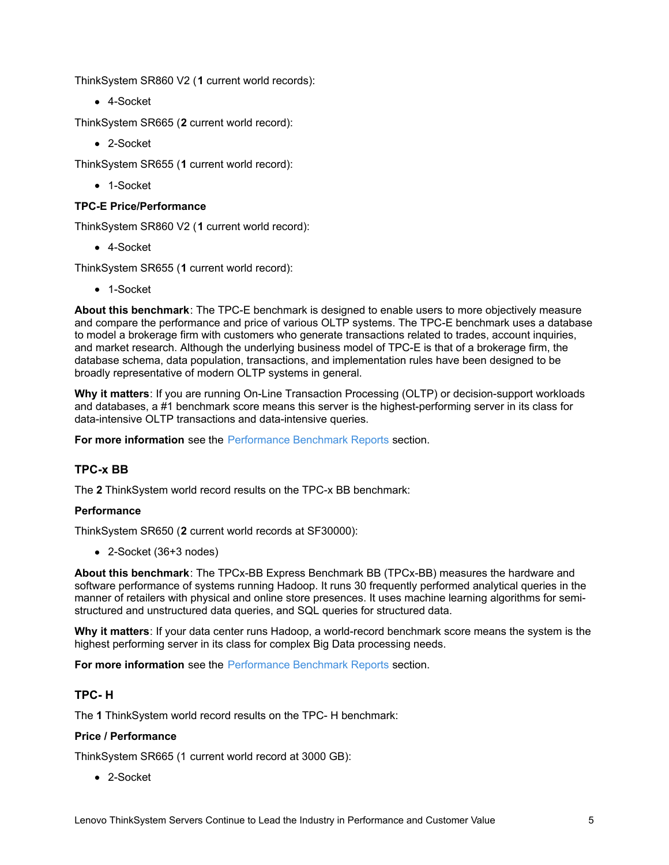ThinkSystem SR860 V2 (**1** current world records):

4-Socket

ThinkSystem SR665 (**2** current world record):

2-Socket

ThinkSystem SR655 (**1** current world record):

• 1-Socket

### **TPC-E Price/Performance**

ThinkSystem SR860 V2 (**1** current world record):

4-Socket

ThinkSystem SR655 (**1** current world record):

• 1-Socket

**About this benchmark**: The TPC-E benchmark is designed to enable users to more objectively measure and compare the performance and price of various OLTP systems. The TPC-E benchmark uses a database to model a brokerage firm with customers who generate transactions related to trades, account inquiries, and market research. Although the underlying business model of TPC-E is that of a brokerage firm, the database schema, data population, transactions, and implementation rules have been designed to be broadly representative of modern OLTP systems in general.

**Why it matters**: If you are running On-Line Transaction Processing (OLTP) or decision-support workloads and databases, a #1 benchmark score means this server is the highest-performing server in its class for data-intensive OLTP transactions and data-intensive queries.

**For more information** see the [Performance](#page-14-0) Benchmark Reports section.

# <span id="page-4-0"></span>**TPC-x BB**

The **2** ThinkSystem world record results on the TPC-x BB benchmark:

### **Performance**

ThinkSystem SR650 (**2** current world records at SF30000):

2-Socket (36+3 nodes)

**About this benchmark**: The TPCx-BB Express Benchmark BB (TPCx-BB) measures the hardware and software performance of systems running Hadoop. It runs 30 frequently performed analytical queries in the manner of retailers with physical and online store presences. It uses machine learning algorithms for semistructured and unstructured data queries, and SQL queries for structured data.

**Why it matters**: If your data center runs Hadoop, a world-record benchmark score means the system is the highest performing server in its class for complex Big Data processing needs.

**For more information** see the [Performance](#page-14-0) Benchmark Reports section.

### <span id="page-4-1"></span>**TPC- H**

The **1** ThinkSystem world record results on the TPC- H benchmark:

### **Price / Performance**

ThinkSystem SR665 (1 current world record at 3000 GB):

• 2-Socket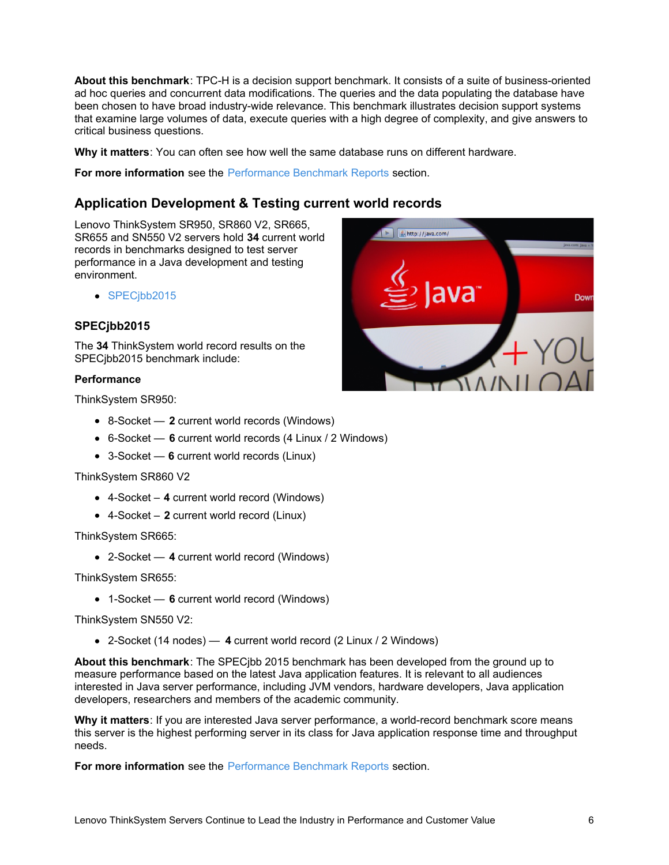**About this benchmark**: TPC-H is a decision support benchmark. It consists of a suite of business-oriented ad hoc queries and concurrent data modifications. The queries and the data populating the database have been chosen to have broad industry-wide relevance. This benchmark illustrates decision support systems that examine large volumes of data, execute queries with a high degree of complexity, and give answers to critical business questions.

**Why it matters**: You can often see how well the same database runs on different hardware.

**For more information** see the [Performance](#page-14-0) Benchmark Reports section.

# **Application Development & Testing current world records**

Lenovo ThinkSystem SR950, SR860 V2, SR665, SR655 and SN550 V2 servers hold **34** current world records in benchmarks designed to test server performance in a Java development and testing environment.

• SPECibb2015

### <span id="page-5-0"></span>**SPECjbb2015**

The **34** ThinkSystem world record results on the SPECjbb2015 benchmark include:

#### **Performance**

ThinkSystem SR950:

- 8-Socket **2** current world records (Windows)
- 6-Socket **6** current world records (4 Linux / 2 Windows)
- 3-Socket **6** current world records (Linux)

#### ThinkSystem SR860 V2

- 4-Socket **4** current world record (Windows)
- 4-Socket **2** current world record (Linux)

ThinkSystem SR665:

2-Socket — **4** current world record (Windows)

ThinkSystem SR655:

1-Socket — **6** current world record (Windows)

ThinkSystem SN550 V2:

2-Socket (14 nodes) — **4** current world record (2 Linux / 2 Windows)

**About this benchmark**: The SPECjbb 2015 benchmark has been developed from the ground up to measure performance based on the latest Java application features. It is relevant to all audiences interested in Java server performance, including JVM vendors, hardware developers, Java application developers, researchers and members of the academic community.

**Why it matters**: If you are interested Java server performance, a world-record benchmark score means this server is the highest performing server in its class for Java application response time and throughput needs.

**For more information** see the [Performance](#page-14-0) Benchmark Reports section.

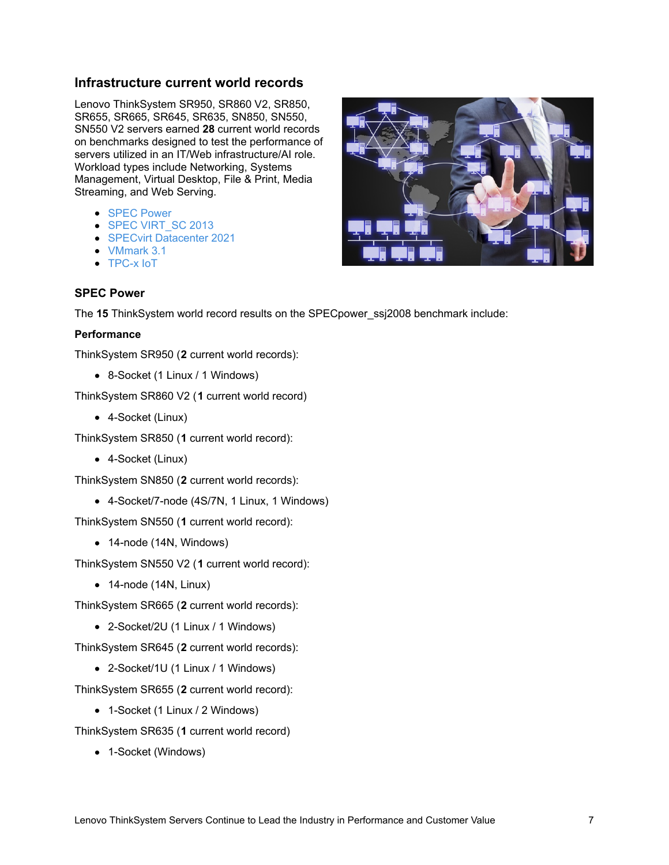### **Infrastructure current world records**

Lenovo ThinkSystem SR950, SR860 V2, SR850, SR655, SR665, SR645, SR635, SN850, SN550, SN550 V2 servers earned **28** current world records on benchmarks designed to test the performance of servers utilized in an IT/Web infrastructure/AI role. Workload types include Networking, Systems Management, Virtual Desktop, File & Print, Media Streaming, and Web Serving.

- **SPEC [Power](#page-6-0)**
- SPEC [VIRT\\_SC](#page-7-0) 2013
- SPECvirt [Datacenter](#page-7-1) 2021
- [VMmark](#page-8-0) 3.1
- [TPC-x](#page-8-1) IoT

### <span id="page-6-0"></span>**SPEC Power**

The **15** ThinkSystem world record results on the SPECpower\_ssj2008 benchmark include:

#### **Performance**

ThinkSystem SR950 (**2** current world records):

8-Socket (1 Linux / 1 Windows)

ThinkSystem SR860 V2 (**1** current world record)

4-Socket (Linux)

ThinkSystem SR850 (**1** current world record):

4-Socket (Linux)

ThinkSystem SN850 (**2** current world records):

4-Socket/7-node (4S/7N, 1 Linux, 1 Windows)

ThinkSystem SN550 (**1** current world record):

- 14-node (14N, Windows)
- ThinkSystem SN550 V2 (**1** current world record):
	- $\bullet$  14-node (14N, Linux)

ThinkSystem SR665 (**2** current world records):

2-Socket/2U (1 Linux / 1 Windows)

ThinkSystem SR645 (**2** current world records):

2-Socket/1U (1 Linux / 1 Windows)

ThinkSystem SR655 (**2** current world record):

• 1-Socket (1 Linux / 2 Windows)

ThinkSystem SR635 (**1** current world record)

• 1-Socket (Windows)

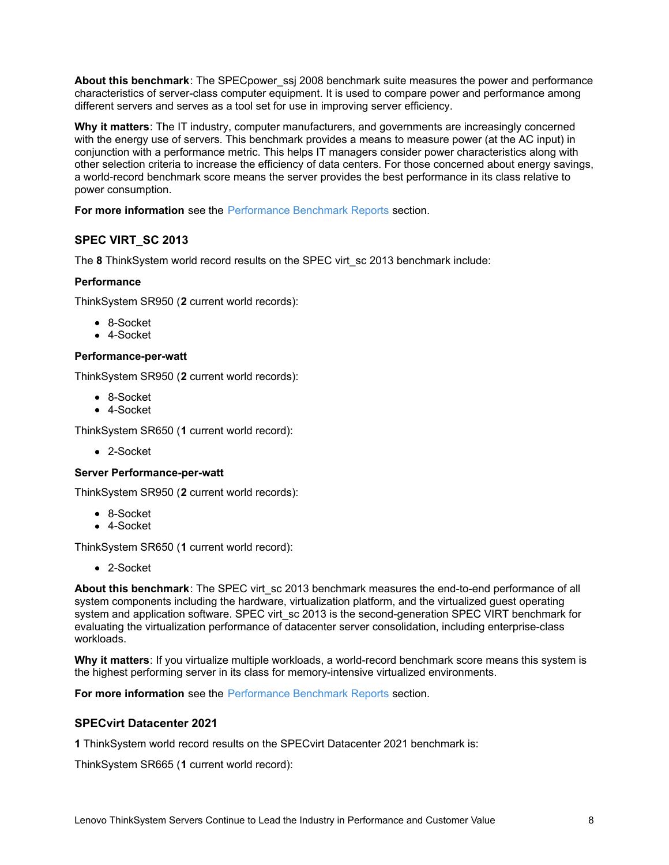**About this benchmark**: The SPECpower\_ssj 2008 benchmark suite measures the power and performance characteristics of server-class computer equipment. It is used to compare power and performance among different servers and serves as a tool set for use in improving server efficiency.

**Why it matters**: The IT industry, computer manufacturers, and governments are increasingly concerned with the energy use of servers. This benchmark provides a means to measure power (at the AC input) in conjunction with a performance metric. This helps IT managers consider power characteristics along with other selection criteria to increase the efficiency of data centers. For those concerned about energy savings, a world-record benchmark score means the server provides the best performance in its class relative to power consumption.

**For more information** see the [Performance](#page-14-0) Benchmark Reports section.

# <span id="page-7-0"></span>**SPEC VIRT\_SC 2013**

The **8** ThinkSystem world record results on the SPEC virt\_sc 2013 benchmark include:

### **Performance**

ThinkSystem SR950 (**2** current world records):

- 8-Socket
- 4-Socket

#### **Performance-per-watt**

ThinkSystem SR950 (**2** current world records):

- 8-Socket
- 4-Socket

ThinkSystem SR650 (**1** current world record):

2-Socket

### **Server Performance-per-watt**

ThinkSystem SR950 (**2** current world records):

- 8-Socket
- 4-Socket

ThinkSystem SR650 (**1** current world record):

2-Socket

**About this benchmark**: The SPEC virt\_sc 2013 benchmark measures the end-to-end performance of all system components including the hardware, virtualization platform, and the virtualized guest operating system and application software. SPEC virt\_sc 2013 is the second-generation SPEC VIRT benchmark for evaluating the virtualization performance of datacenter server consolidation, including enterprise-class workloads.

**Why it matters**: If you virtualize multiple workloads, a world-record benchmark score means this system is the highest performing server in its class for memory-intensive virtualized environments.

**For more information** see the [Performance](#page-14-0) Benchmark Reports section.

### <span id="page-7-1"></span>**SPECvirt Datacenter 2021**

**1** ThinkSystem world record results on the SPECvirt Datacenter 2021 benchmark is:

ThinkSystem SR665 (**1** current world record):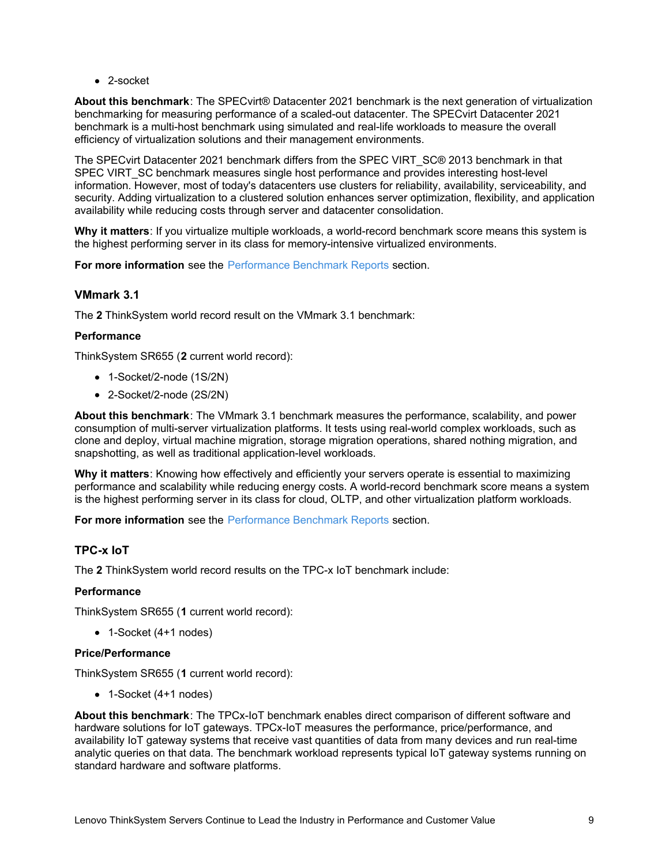• 2-socket

**About this benchmark**: The SPECvirt® Datacenter 2021 benchmark is the next generation of virtualization benchmarking for measuring performance of a scaled-out datacenter. The SPECvirt Datacenter 2021 benchmark is a multi-host benchmark using simulated and real-life workloads to measure the overall efficiency of virtualization solutions and their management environments.

The SPECvirt Datacenter 2021 benchmark differs from the SPEC VIRT\_SC® 2013 benchmark in that SPEC VIRT SC benchmark measures single host performance and provides interesting host-level information. However, most of today's datacenters use clusters for reliability, availability, serviceability, and security. Adding virtualization to a clustered solution enhances server optimization, flexibility, and application availability while reducing costs through server and datacenter consolidation.

**Why it matters**: If you virtualize multiple workloads, a world-record benchmark score means this system is the highest performing server in its class for memory-intensive virtualized environments.

**For more information** see the [Performance](#page-14-0) Benchmark Reports section.

### <span id="page-8-0"></span>**VMmark 3.1**

The **2** ThinkSystem world record result on the VMmark 3.1 benchmark:

### **Performance**

ThinkSystem SR655 (**2** current world record):

- 1-Socket/2-node (1S/2N)
- 2-Socket/2-node (2S/2N)

**About this benchmark**: The VMmark 3.1 benchmark measures the performance, scalability, and power consumption of multi-server virtualization platforms. It tests using real-world complex workloads, such as clone and deploy, virtual machine migration, storage migration operations, shared nothing migration, and snapshotting, as well as traditional application-level workloads.

**Why it matters**: Knowing how effectively and efficiently your servers operate is essential to maximizing performance and scalability while reducing energy costs. A world-record benchmark score means a system is the highest performing server in its class for cloud, OLTP, and other virtualization platform workloads.

**For more information** see the [Performance](#page-14-0) Benchmark Reports section.

### <span id="page-8-1"></span>**TPC-x IoT**

The **2** ThinkSystem world record results on the TPC-x IoT benchmark include:

### **Performance**

ThinkSystem SR655 (**1** current world record):

1-Socket (4+1 nodes)

#### **Price/Performance**

ThinkSystem SR655 (**1** current world record):

1-Socket (4+1 nodes)

**About this benchmark**: The TPCx-IoT benchmark enables direct comparison of different software and hardware solutions for IoT gateways. TPCx-IoT measures the performance, price/performance, and availability IoT gateway systems that receive vast quantities of data from many devices and run real-time analytic queries on that data. The benchmark workload represents typical IoT gateway systems running on standard hardware and software platforms.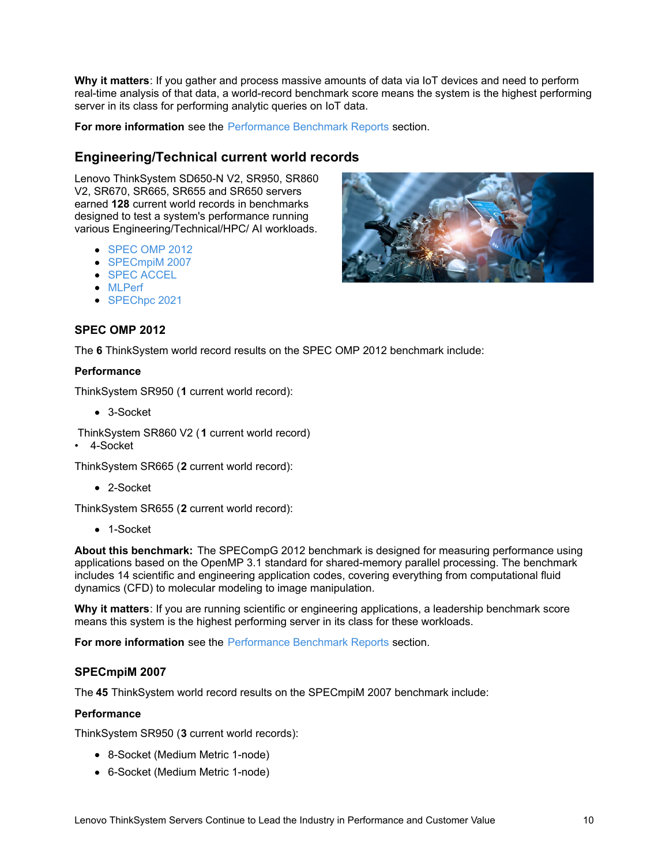**Why it matters**: If you gather and process massive amounts of data via IoT devices and need to perform real-time analysis of that data, a world-record benchmark score means the system is the highest performing server in its class for performing analytic queries on IoT data.

**For more information** see the [Performance](#page-14-0) Benchmark Reports section.

### **Engineering/Technical current world records**

Lenovo ThinkSystem SD650-N V2, SR950, SR860 V2, SR670, SR665, SR655 and SR650 servers earned **128** current world records in benchmarks designed to test a system's performance running various Engineering/Technical/HPC/ AI workloads.

- [SPEC](#page-9-0) OMP 2012
- [SPECmpiM](#page-9-1) 2007
- **SPEC [ACCEL](#page-11-0)**
- [MLPerf](#page-11-1)
- [SPEChpc](#page-13-0) 2021

### <span id="page-9-0"></span>**SPEC OMP 2012**

The **6** ThinkSystem world record results on the SPEC OMP 2012 benchmark include:

#### **Performance**

ThinkSystem SR950 (**1** current world record):

- 3-Socket
- ThinkSystem SR860 V2 (**1** current world record)
- 4-Socket

ThinkSystem SR665 (**2** current world record):

2-Socket

ThinkSystem SR655 (**2** current world record):

• 1-Socket

**About this benchmark:** The SPECompG 2012 benchmark is designed for measuring performance using applications based on the OpenMP 3.1 standard for shared-memory parallel processing. The benchmark includes 14 scientific and engineering application codes, covering everything from computational fluid dynamics (CFD) to molecular modeling to image manipulation.

**Why it matters**: If you are running scientific or engineering applications, a leadership benchmark score means this system is the highest performing server in its class for these workloads.

**For more information** see the [Performance](#page-14-0) Benchmark Reports section.

#### <span id="page-9-1"></span>**SPECmpiM 2007**

The **45** ThinkSystem world record results on the SPECmpiM 2007 benchmark include:

#### **Performance**

ThinkSystem SR950 (**3** current world records):

- 8-Socket (Medium Metric 1-node)
- 6-Socket (Medium Metric 1-node)

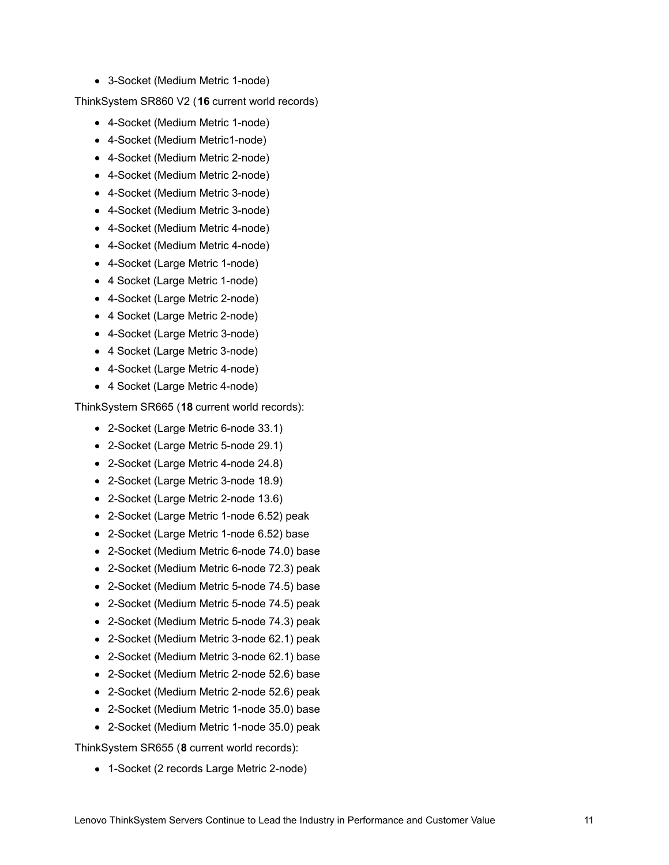3-Socket (Medium Metric 1-node)

ThinkSystem SR860 V2 (**16** current world records)

- 4-Socket (Medium Metric 1-node)
- 4-Socket (Medium Metric1-node)
- 4-Socket (Medium Metric 2-node)
- 4-Socket (Medium Metric 2-node)
- 4-Socket (Medium Metric 3-node)
- 4-Socket (Medium Metric 3-node)
- 4-Socket (Medium Metric 4-node)
- 4-Socket (Medium Metric 4-node)
- 4-Socket (Large Metric 1-node)
- 4 Socket (Large Metric 1-node)
- 4-Socket (Large Metric 2-node)
- 4 Socket (Large Metric 2-node)
- 4-Socket (Large Metric 3-node)
- 4 Socket (Large Metric 3-node)
- 4-Socket (Large Metric 4-node)
- 4 Socket (Large Metric 4-node)

ThinkSystem SR665 (**18** current world records):

- 2-Socket (Large Metric 6-node 33.1)
- 2-Socket (Large Metric 5-node 29.1)
- 2-Socket (Large Metric 4-node 24.8)
- 2-Socket (Large Metric 3-node 18.9)
- 2-Socket (Large Metric 2-node 13.6)
- 2-Socket (Large Metric 1-node 6.52) peak
- 2-Socket (Large Metric 1-node 6.52) base
- 2-Socket (Medium Metric 6-node 74.0) base
- 2-Socket (Medium Metric 6-node 72.3) peak
- 2-Socket (Medium Metric 5-node 74.5) base
- 2-Socket (Medium Metric 5-node 74.5) peak
- 2-Socket (Medium Metric 5-node 74.3) peak
- 2-Socket (Medium Metric 3-node 62.1) peak
- 2-Socket (Medium Metric 3-node 62.1) base
- 2-Socket (Medium Metric 2-node 52.6) base
- 2-Socket (Medium Metric 2-node 52.6) peak
- 2-Socket (Medium Metric 1-node 35.0) base
- 2-Socket (Medium Metric 1-node 35.0) peak

ThinkSystem SR655 (**8** current world records):

1-Socket (2 records Large Metric 2-node)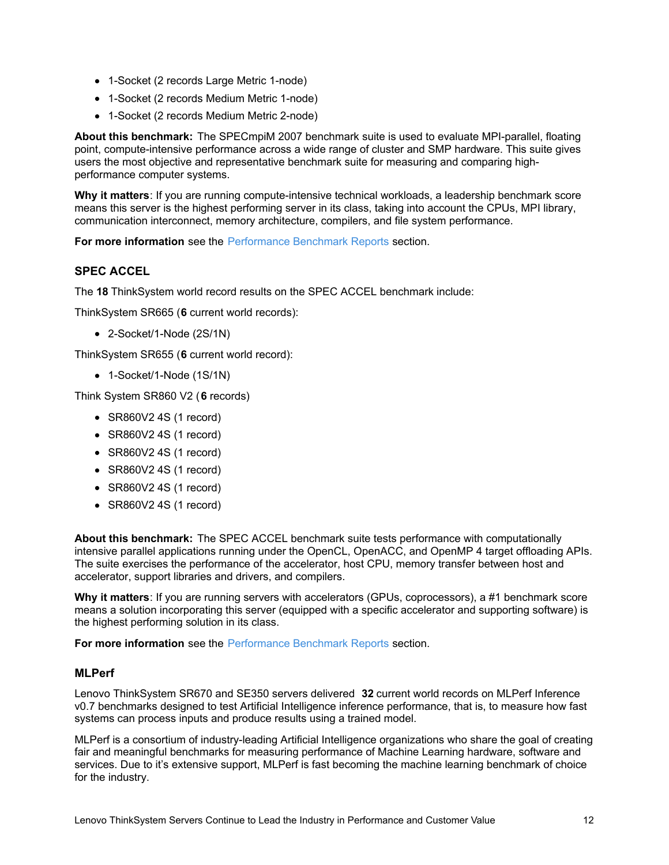- 1-Socket (2 records Large Metric 1-node)
- 1-Socket (2 records Medium Metric 1-node)
- 1-Socket (2 records Medium Metric 2-node)

**About this benchmark:** The SPECmpiM 2007 benchmark suite is used to evaluate MPI-parallel, floating point, compute-intensive performance across a wide range of cluster and SMP hardware. This suite gives users the most objective and representative benchmark suite for measuring and comparing highperformance computer systems.

**Why it matters**: If you are running compute-intensive technical workloads, a leadership benchmark score means this server is the highest performing server in its class, taking into account the CPUs, MPI library, communication interconnect, memory architecture, compilers, and file system performance.

**For more information** see the [Performance](#page-14-0) Benchmark Reports section.

### <span id="page-11-0"></span>**SPEC ACCEL**

The **18** ThinkSystem world record results on the SPEC ACCEL benchmark include:

ThinkSystem SR665 (**6** current world records):

2-Socket/1-Node (2S/1N)

ThinkSystem SR655 (**6** current world record):

• 1-Socket/1-Node (1S/1N)

Think System SR860 V2 (**6** records)

- SR860V2 4S (1 record)
- SR860V2 4S (1 record)
- SR860V2 4S (1 record)
- SR860V2 4S (1 record)
- SR860V2 4S (1 record)
- SR860V2 4S (1 record)

**About this benchmark:** The SPEC ACCEL benchmark suite tests performance with computationally intensive parallel applications running under the OpenCL, OpenACC, and OpenMP 4 target offloading APIs. The suite exercises the performance of the accelerator, host CPU, memory transfer between host and accelerator, support libraries and drivers, and compilers.

**Why it matters**: If you are running servers with accelerators (GPUs, coprocessors), a #1 benchmark score means a solution incorporating this server (equipped with a specific accelerator and supporting software) is the highest performing solution in its class.

**For more information** see the [Performance](#page-14-0) Benchmark Reports section.

### <span id="page-11-1"></span>**MLPerf**

Lenovo ThinkSystem SR670 and SE350 servers delivered **32** current world records on MLPerf Inference v0.7 benchmarks designed to test Artificial Intelligence inference performance, that is, to measure how fast systems can process inputs and produce results using a trained model.

MLPerf is a consortium of industry-leading Artificial Intelligence organizations who share the goal of creating fair and meaningful benchmarks for measuring performance of Machine Learning hardware, software and services. Due to it's extensive support, MLPerf is fast becoming the machine learning benchmark of choice for the industry.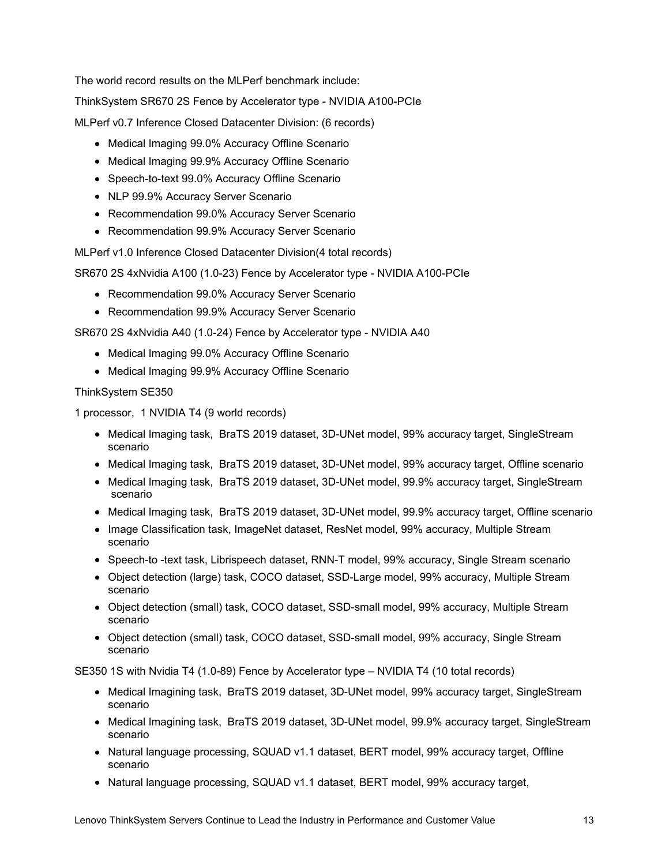The world record results on the MLPerf benchmark include:

ThinkSystem SR670 2S Fence by Accelerator type - NVIDIA A100-PCIe

MLPerf v0.7 Inference Closed Datacenter Division: (6 records)

- Medical Imaging 99.0% Accuracy Offline Scenario
- Medical Imaging 99.9% Accuracy Offline Scenario
- Speech-to-text 99.0% Accuracy Offline Scenario
- NLP 99.9% Accuracy Server Scenario
- Recommendation 99.0% Accuracy Server Scenario
- Recommendation 99.9% Accuracy Server Scenario

MLPerf v1.0 Inference Closed Datacenter Division(4 total records)

SR670 2S 4xNvidia A100 (1.0-23) Fence by Accelerator type - NVIDIA A100-PCIe

- Recommendation 99.0% Accuracy Server Scenario
- Recommendation 99.9% Accuracy Server Scenario

SR670 2S 4xNvidia A40 (1.0-24) Fence by Accelerator type - NVIDIA A40

- Medical Imaging 99.0% Accuracy Offline Scenario
- Medical Imaging 99.9% Accuracy Offline Scenario

ThinkSystem SE350

1 processor, 1 NVIDIA T4 (9 world records)

- Medical Imaging task, BraTS 2019 dataset, 3D-UNet model, 99% accuracy target, SingleStream scenario
- Medical Imaging task, BraTS 2019 dataset, 3D-UNet model, 99% accuracy target, Offline scenario
- Medical Imaging task, BraTS 2019 dataset, 3D-UNet model, 99.9% accuracy target, SingleStream scenario
- Medical Imaging task, BraTS 2019 dataset, 3D-UNet model, 99.9% accuracy target, Offline scenario
- Image Classification task, ImageNet dataset, ResNet model, 99% accuracy, Multiple Stream scenario
- Speech-to -text task, Librispeech dataset, RNN-T model, 99% accuracy, Single Stream scenario
- Object detection (large) task, COCO dataset, SSD-Large model, 99% accuracy, Multiple Stream scenario
- Object detection (small) task, COCO dataset, SSD-small model, 99% accuracy, Multiple Stream scenario
- Object detection (small) task, COCO dataset, SSD-small model, 99% accuracy, Single Stream scenario

SE350 1S with Nvidia T4 (1.0-89) Fence by Accelerator type – NVIDIA T4 (10 total records)

- Medical Imagining task, BraTS 2019 dataset, 3D-UNet model, 99% accuracy target, SingleStream scenario
- Medical Imagining task, BraTS 2019 dataset, 3D-UNet model, 99.9% accuracy target, SingleStream scenario
- Natural language processing, SQUAD v1.1 dataset, BERT model, 99% accuracy target, Offline scenario
- Natural language processing, SQUAD v1.1 dataset, BERT model, 99% accuracy target,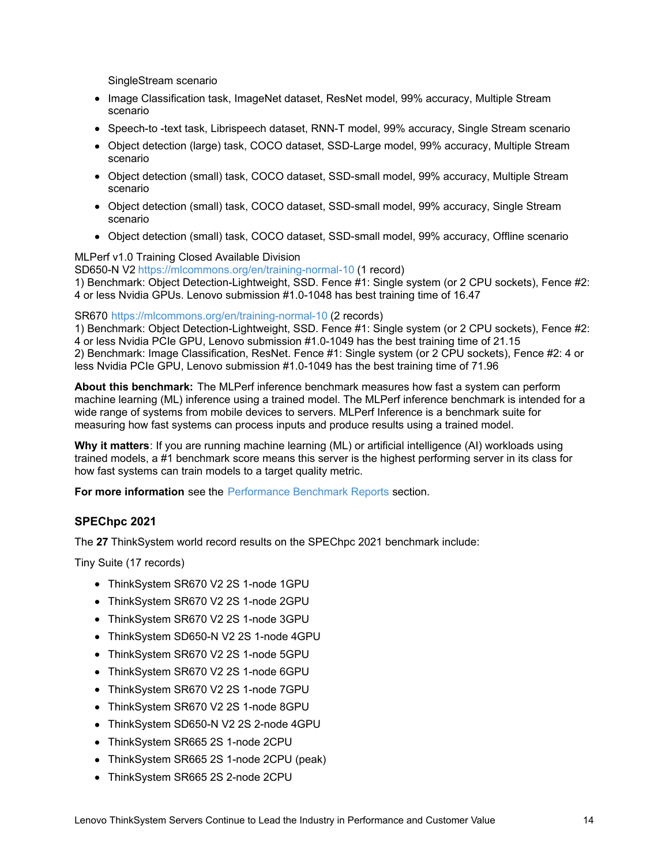SingleStream scenario

- Image Classification task, ImageNet dataset, ResNet model, 99% accuracy, Multiple Stream scenario
- Speech-to -text task, Librispeech dataset, RNN-T model, 99% accuracy, Single Stream scenario
- Object detection (large) task, COCO dataset, SSD-Large model, 99% accuracy, Multiple Stream scenario
- Object detection (small) task, COCO dataset, SSD-small model, 99% accuracy, Multiple Stream scenario
- Object detection (small) task, COCO dataset, SSD-small model, 99% accuracy, Single Stream scenario
- Object detection (small) task, COCO dataset, SSD-small model, 99% accuracy, Offline scenario

#### MLPerf v1.0 Training Closed Available Division

SD650-N V2 <https://mlcommons.org/en/training-normal-10> (1 record)

1) Benchmark: Object Detection-Lightweight, SSD. Fence #1: Single system (or 2 CPU sockets), Fence #2: 4 or less Nvidia GPUs. Lenovo submission #1.0-1048 has best training time of 16.47

#### SR670 <https://mlcommons.org/en/training-normal-10> (2 records)

1) Benchmark: Object Detection-Lightweight, SSD. Fence #1: Single system (or 2 CPU sockets), Fence #2: 4 or less Nvidia PCIe GPU, Lenovo submission #1.0-1049 has the best training time of 21.15 2) Benchmark: Image Classification, ResNet. Fence #1: Single system (or 2 CPU sockets), Fence #2: 4 or less Nvidia PCIe GPU, Lenovo submission #1.0-1049 has the best training time of 71.96

**About this benchmark:** The MLPerf inference benchmark measures how fast a system can perform machine learning (ML) inference using a trained model. The MLPerf inference benchmark is intended for a wide range of systems from mobile devices to servers. MLPerf Inference is a benchmark suite for measuring how fast systems can process inputs and produce results using a trained model.

**Why it matters**: If you are running machine learning (ML) or artificial intelligence (AI) workloads using trained models, a #1 benchmark score means this server is the highest performing server in its class for how fast systems can train models to a target quality metric.

**For more information** see the [Performance](#page-14-0) Benchmark Reports section.

### <span id="page-13-0"></span>**SPEChpc 2021**

The **27** ThinkSystem world record results on the SPEChpc 2021 benchmark include:

Tiny Suite (17 records)

- ThinkSystem SR670 V2 2S 1-node 1GPU
- ThinkSystem SR670 V2 2S 1-node 2GPU
- ThinkSystem SR670 V2 2S 1-node 3GPU
- ThinkSystem SD650-N V2 2S 1-node 4GPU
- ThinkSystem SR670 V2 2S 1-node 5GPU
- ThinkSystem SR670 V2 2S 1-node 6GPU
- ThinkSystem SR670 V2 2S 1-node 7GPU
- ThinkSystem SR670 V2 2S 1-node 8GPU
- ThinkSystem SD650-N V2 2S 2-node 4GPU
- ThinkSystem SR665 2S 1-node 2CPU
- ThinkSystem SR665 2S 1-node 2CPU (peak)
- ThinkSystem SR665 2S 2-node 2CPU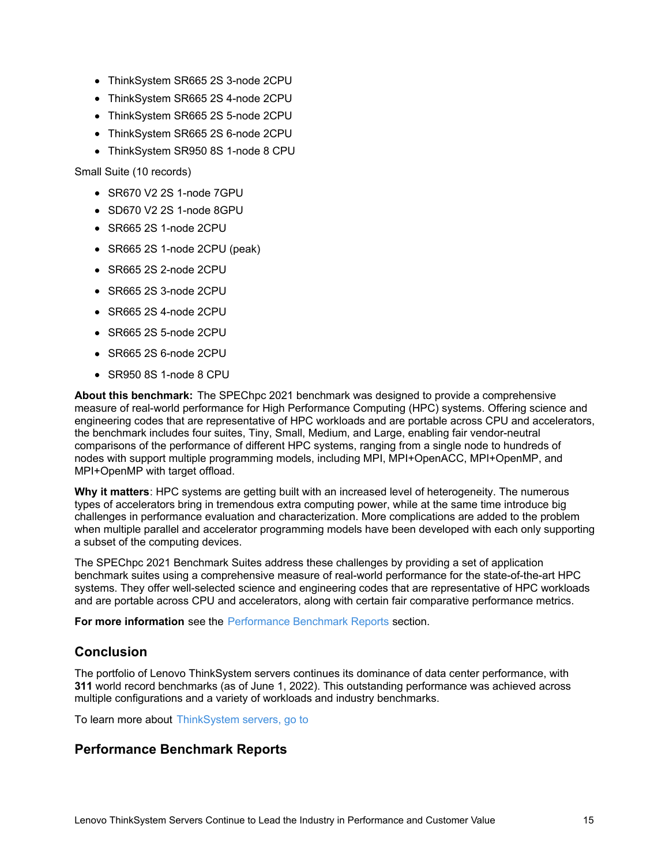- ThinkSystem SR665 2S 3-node 2CPU
- ThinkSystem SR665 2S 4-node 2CPU
- ThinkSystem SR665 2S 5-node 2CPU
- ThinkSystem SR665 2S 6-node 2CPU
- ThinkSystem SR950 8S 1-node 8 CPU

Small Suite (10 records)

- SR670 V2 2S 1-node 7GPU
- SD670 V2 2S 1-node 8GPU
- SR665 2S 1-node 2CPU
- SR665 2S 1-node 2CPU (peak)
- SR665 2S 2-node 2CPU
- SR665 2S 3-node 2CPU
- SR665 2S 4-node 2CPU
- SR665 2S 5-node 2CPU
- SR665 2S 6-node 2CPU
- SR950 8S 1-node 8 CPU

**About this benchmark:** The SPEChpc 2021 benchmark was designed to provide a comprehensive measure of real-world performance for High Performance Computing (HPC) systems. Offering science and engineering codes that are representative of HPC workloads and are portable across CPU and accelerators, the benchmark includes four suites, Tiny, Small, Medium, and Large, enabling fair vendor-neutral comparisons of the performance of different HPC systems, ranging from a single node to hundreds of nodes with support multiple programming models, including MPI, MPI+OpenACC, MPI+OpenMP, and MPI+OpenMP with target offload.

**Why it matters**: HPC systems are getting built with an increased level of heterogeneity. The numerous types of accelerators bring in tremendous extra computing power, while at the same time introduce big challenges in performance evaluation and characterization. More complications are added to the problem when multiple parallel and accelerator programming models have been developed with each only supporting a subset of the computing devices.

The SPEChpc 2021 Benchmark Suites address these challenges by providing a set of application benchmark suites using a comprehensive measure of real-world performance for the state-of-the-art HPC systems. They offer well-selected science and engineering codes that are representative of HPC workloads and are portable across CPU and accelerators, along with certain fair comparative performance metrics.

**For more information** see the [Performance](#page-14-0) Benchmark Reports section.

### **Conclusion**

The portfolio of Lenovo ThinkSystem servers continues its dominance of data center performance, with **311** world record benchmarks (as of June 1, 2022). This outstanding performance was achieved across multiple configurations and a variety of workloads and industry benchmarks.

To learn more about [ThinkSystem](https://www.lenovo.com/us/en/servers-storage/servers/) servers, go to

### <span id="page-14-0"></span>**Performance Benchmark Reports**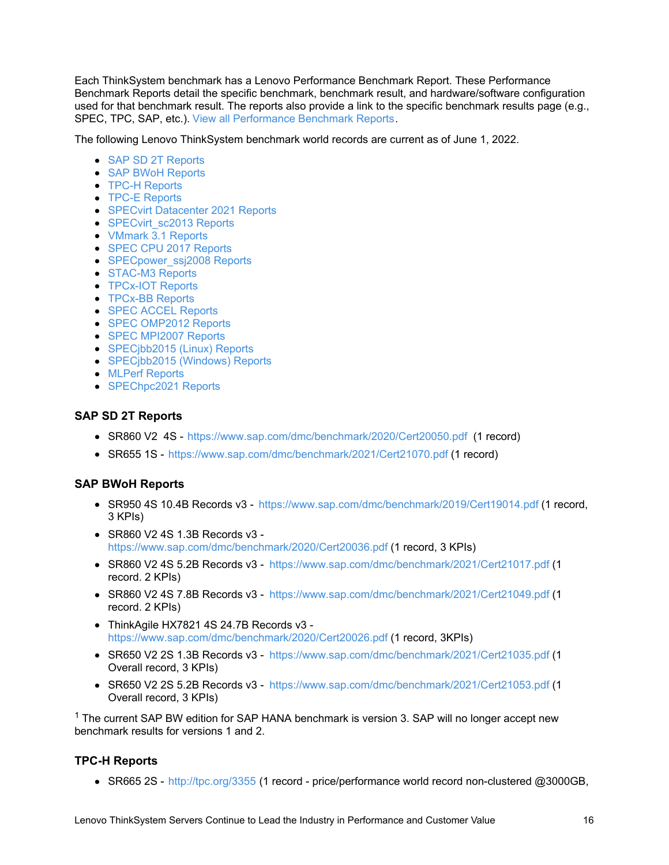Each ThinkSystem benchmark has a Lenovo Performance Benchmark Report. These Performance Benchmark Reports detail the specific benchmark, benchmark result, and hardware/software configuration used for that benchmark result. The reports also provide a link to the specific benchmark results page (e.g., SPEC, TPC, SAP, etc.). View all [Performance](https://lenovopress.com/#resource_type=performance-benchmark-result&sort=relevance) Benchmark Reports.

The following Lenovo ThinkSystem benchmark world records are current as of June 1, 2022.

- SAP SD 2T [Reports](#page-15-0)
- SAP BWoH [Reports](#page-15-1)
- TPC-H [Reports](#page-15-2)
- **TPC-E [Reports](#page-16-0)**
- SPECvirt [Datacenter](#page-16-1) 2021 Reports
- [SPECvirt\\_sc2013](#page-16-2) Reports
- [VMmark](#page-16-3) 3.1 Reports
- SPEC CPU 2017 [Reports](#page-16-4)
- SPECpower ssj2008 Reports
- [STAC-M3](#page-18-0) Reports
- **[TPCx-IOT](#page-18-1) Reports**
- [TPCx-BB](#page-19-0) Reports
- **SPEC ACCEL [Reports](#page-19-1)**
- SPEC [OMP2012](#page-19-2) Reports
- SPEC [MPI2007](#page-20-0) Reports
- [SPECjbb2015](#page-22-0) (Linux) Reports
- [SPECjbb2015](#page-22-1) (Windows) Reports
- MLPerf [Reports](#page-23-0)
- [SPEChpc2021](#page-23-1) Reports

#### <span id="page-15-0"></span>**SAP SD 2T Reports**

- SR860 V2 4S <https://www.sap.com/dmc/benchmark/2020/Cert20050.pdf> (1 record)
- SR655 1S <https://www.sap.com/dmc/benchmark/2021/Cert21070.pdf> (1 record)

### <span id="page-15-1"></span>**SAP BWoH Reports**

- SR950 4S 10.4B Records v3 <https://www.sap.com/dmc/benchmark/2019/Cert19014.pdf> (1 record, 3 KPIs)
- SR860 V2 4S 1.3B Records v3 <https://www.sap.com/dmc/benchmark/2020/Cert20036.pdf> (1 record, 3 KPIs)
- SR860 V2 4S 5.2B Records v3 <https://www.sap.com/dmc/benchmark/2021/Cert21017.pdf> (1 record. 2 KPIs)
- SR860 V2 4S 7.8B Records v3 <https://www.sap.com/dmc/benchmark/2021/Cert21049.pdf> (1 record. 2 KPIs)
- ThinkAgile HX7821 4S 24.7B Records v3 <https://www.sap.com/dmc/benchmark/2020/Cert20026.pdf> (1 record, 3KPIs)
- SR650 V2 2S 1.3B Records v3 <https://www.sap.com/dmc/benchmark/2021/Cert21035.pdf> (1 Overall record, 3 KPIs)
- SR650 V2 2S 5.2B Records v3 <https://www.sap.com/dmc/benchmark/2021/Cert21053.pdf> (1 Overall record, 3 KPIs)

 $1$  The current SAP BW edition for SAP HANA benchmark is version 3. SAP will no longer accept new benchmark results for versions 1 and 2.

### <span id="page-15-2"></span>**TPC-H Reports**

• SR665 2S - <http://tpc.org/3355> (1 record - price/performance world record non-clustered @3000GB,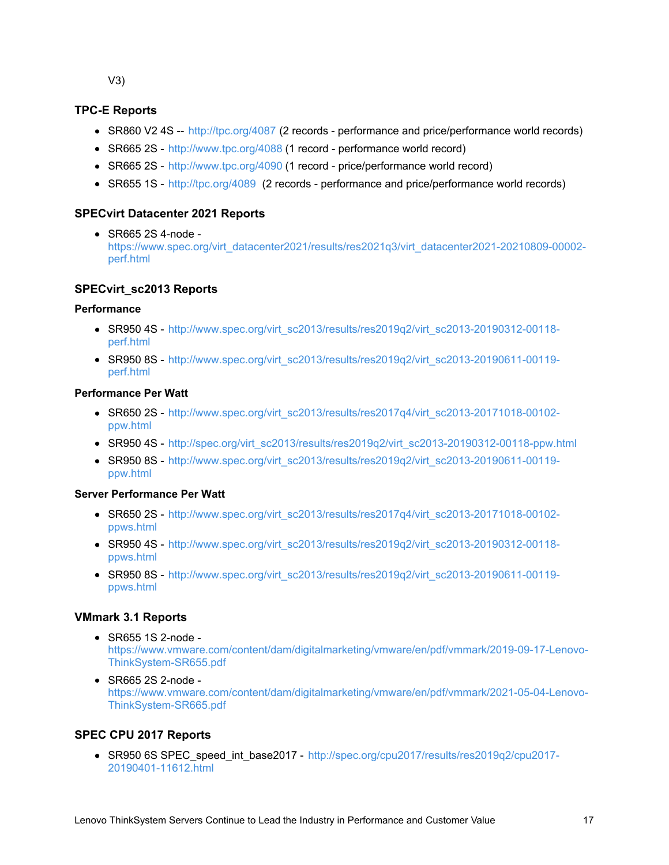V3)

### <span id="page-16-0"></span>**TPC-E Reports**

- SR860 V2 4S -- <http://tpc.org/4087> (2 records performance and price/performance world records)
- SR665 2S <http://www.tpc.org/4088> (1 record performance world record)
- SR665 2S <http://www.tpc.org/4090> (1 record price/performance world record)
- SR655 1S <http://tpc.org/4089> (2 records performance and price/performance world records)

### <span id="page-16-1"></span>**SPECvirt Datacenter 2021 Reports**

SR665 2S 4-node [https://www.spec.org/virt\\_datacenter2021/results/res2021q3/virt\\_datacenter2021-20210809-00002](https://www.spec.org/virt_datacenter2021/results/res2021q3/virt_datacenter2021-20210809-00002-perf.html) perf.html

### <span id="page-16-2"></span>**SPECvirt\_sc2013 Reports**

#### **Performance**

- SR950 4S [http://www.spec.org/virt\\_sc2013/results/res2019q2/virt\\_sc2013-20190312-00118](http://www.spec.org/virt_sc2013/results/res2019q2/virt_sc2013-20190312-00118-perf.html) perf.html
- SR950 8S [http://www.spec.org/virt\\_sc2013/results/res2019q2/virt\\_sc2013-20190611-00119](http://www.spec.org/virt_sc2013/results/res2019q2/virt_sc2013-20190611-00119-perf.html) perf.html

#### **Performance Per Watt**

- $\bullet$  SR650 2S [http://www.spec.org/virt\\_sc2013/results/res2017q4/virt\\_sc2013-20171018-00102](http://www.spec.org/virt_sc2013/results/res2017q4/virt_sc2013-20171018-00102-ppw.html) ppw.html
- SR950 4S [http://spec.org/virt\\_sc2013/results/res2019q2/virt\\_sc2013-20190312-00118-ppw.html](http://spec.org/virt_sc2013/results/res2019q2/virt_sc2013-20190312-00118-ppw.html)
- $\bullet$  SR950 8S [http://www.spec.org/virt\\_sc2013/results/res2019q2/virt\\_sc2013-20190611-00119](http://www.spec.org/virt_sc2013/results/res2019q2/virt_sc2013-20190611-00119-ppw.html) ppw.html

### **Server Performance Per Watt**

- $\bullet$  SR650 2S [http://www.spec.org/virt\\_sc2013/results/res2017q4/virt\\_sc2013-20171018-00102](http://www.spec.org/virt_sc2013/results/res2017q4/virt_sc2013-20171018-00102-ppws.html) ppws.html
- SR950 4S [http://www.spec.org/virt\\_sc2013/results/res2019q2/virt\\_sc2013-20190312-00118](http://www.spec.org/virt_sc2013/results/res2019q2/virt_sc2013-20190312-00118-ppws.html) ppws.html
- $\bullet$  SR950 8S [http://www.spec.org/virt\\_sc2013/results/res2019q2/virt\\_sc2013-20190611-00119](http://www.spec.org/virt_sc2013/results/res2019q2/virt_sc2013-20190611-00119-ppws.html) ppws.html

### <span id="page-16-3"></span>**VMmark 3.1 Reports**

- SR655 1S 2-node [https://www.vmware.com/content/dam/digitalmarketing/vmware/en/pdf/vmmark/2019-09-17-Lenovo-](https://www.vmware.com/content/dam/digitalmarketing/vmware/en/pdf/vmmark/2019-09-17-Lenovo-ThinkSystem-SR655.pdf)ThinkSystem-SR655.pdf
- SR665 2S 2-node [https://www.vmware.com/content/dam/digitalmarketing/vmware/en/pdf/vmmark/2021-05-04-Lenovo-](https://www.vmware.com/content/dam/digitalmarketing/vmware/en/pdf/vmmark/2021-05-04-Lenovo-ThinkSystem-SR665.pdf)ThinkSystem-SR665.pdf

### <span id="page-16-4"></span>**SPEC CPU 2017 Reports**

• SR950 6S SPEC\_speed\_int\_base2017 - [http://spec.org/cpu2017/results/res2019q2/cpu2017-](http://spec.org/cpu2017/results/res2019q2/cpu2017-20190401-11612.html) 20190401-11612.html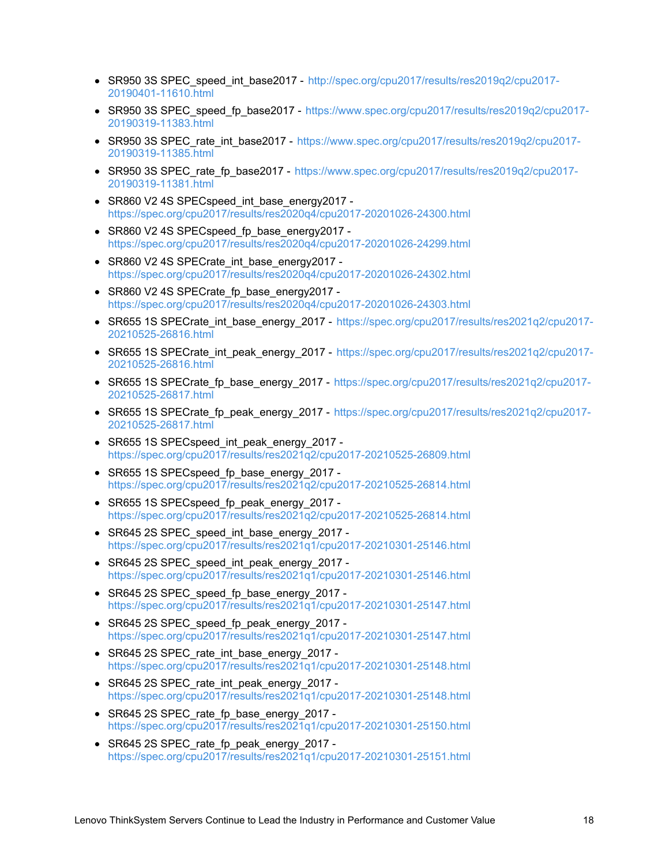- SR950 3S SPEC\_speed\_int\_base2017 [http://spec.org/cpu2017/results/res2019q2/cpu2017-](http://spec.org/cpu2017/results/res2019q2/cpu2017-20190401-11610.html) 20190401-11610.html
- SR950 3S SPEC speed fp\_base2017 [https://www.spec.org/cpu2017/results/res2019q2/cpu2017-](https://www.spec.org/cpu2017/results/res2019q2/cpu2017-20190319-11383.html) 20190319-11383.html
- SR950 3S SPEC rate int base2017 [https://www.spec.org/cpu2017/results/res2019q2/cpu2017-](https://www.spec.org/cpu2017/results/res2019q2/cpu2017-20190319-11385.html) 20190319-11385.html
- SR950 3S SPEC rate fp\_base2017 [https://www.spec.org/cpu2017/results/res2019q2/cpu2017-](https://www.spec.org/cpu2017/results/res2019q2/cpu2017-20190319-11381.html) 20190319-11381.html
- SR860 V2 4S SPECspeed int base\_energy2017 <https://spec.org/cpu2017/results/res2020q4/cpu2017-20201026-24300.html>
- SR860 V2 4S SPECspeed fp\_base\_energy2017 <https://spec.org/cpu2017/results/res2020q4/cpu2017-20201026-24299.html>
- SR860 V2 4S SPECrate int base energy2017 <https://spec.org/cpu2017/results/res2020q4/cpu2017-20201026-24302.html>
- SR860 V2 4S SPECrate\_fp\_base\_energy2017 <https://spec.org/cpu2017/results/res2020q4/cpu2017-20201026-24303.html>
- SR655 1S SPECrate int base energy 2017 [https://spec.org/cpu2017/results/res2021q2/cpu2017-](https://spec.org/cpu2017/results/res2021q2/cpu2017-20210525-26816.html) 20210525-26816.html
- SR655 1S SPECrate int peak energy 2017 [https://spec.org/cpu2017/results/res2021q2/cpu2017-](https://spec.org/cpu2017/results/res2021q2/cpu2017-20210525-26816.html) 20210525-26816.html
- SR655 1S SPECrate fp\_base\_energy\_2017 [https://spec.org/cpu2017/results/res2021q2/cpu2017-](https://spec.org/cpu2017/results/res2021q2/cpu2017-20210525-26817.html) 20210525-26817.html
- SR655 1S SPECrate fp\_peak\_energy\_2017 [https://spec.org/cpu2017/results/res2021q2/cpu2017-](https://spec.org/cpu2017/results/res2021q2/cpu2017-20210525-26817.html) 20210525-26817.html
- SR655 1S SPECspeed int peak energy 2017 <https://spec.org/cpu2017/results/res2021q2/cpu2017-20210525-26809.html>
- SR655 1S SPECspeed fp base energy 2017 <https://spec.org/cpu2017/results/res2021q2/cpu2017-20210525-26814.html>
- SR655 1S SPECspeed fp\_peak\_energy\_2017 <https://spec.org/cpu2017/results/res2021q2/cpu2017-20210525-26814.html>
- SR645 2S SPEC speed int base energy 2017 <https://spec.org/cpu2017/results/res2021q1/cpu2017-20210301-25146.html>
- SR645 2S SPEC\_speed\_int\_peak\_energy\_2017 <https://spec.org/cpu2017/results/res2021q1/cpu2017-20210301-25146.html>
- SR645 2S SPEC speed fp base energy 2017 <https://spec.org/cpu2017/results/res2021q1/cpu2017-20210301-25147.html>
- SR645 2S SPEC speed fp peak energy 2017 <https://spec.org/cpu2017/results/res2021q1/cpu2017-20210301-25147.html>
- SR645 2S SPEC rate int base\_energy\_2017 <https://spec.org/cpu2017/results/res2021q1/cpu2017-20210301-25148.html>
- SR645 2S SPEC\_rate\_int\_peak\_energy\_2017 <https://spec.org/cpu2017/results/res2021q1/cpu2017-20210301-25148.html>
- SR645 2S SPEC\_rate\_fp\_base\_energy\_2017 <https://spec.org/cpu2017/results/res2021q1/cpu2017-20210301-25150.html>
- <span id="page-17-0"></span>SR645 2S SPEC\_rate\_fp\_peak\_energy\_2017 <https://spec.org/cpu2017/results/res2021q1/cpu2017-20210301-25151.html>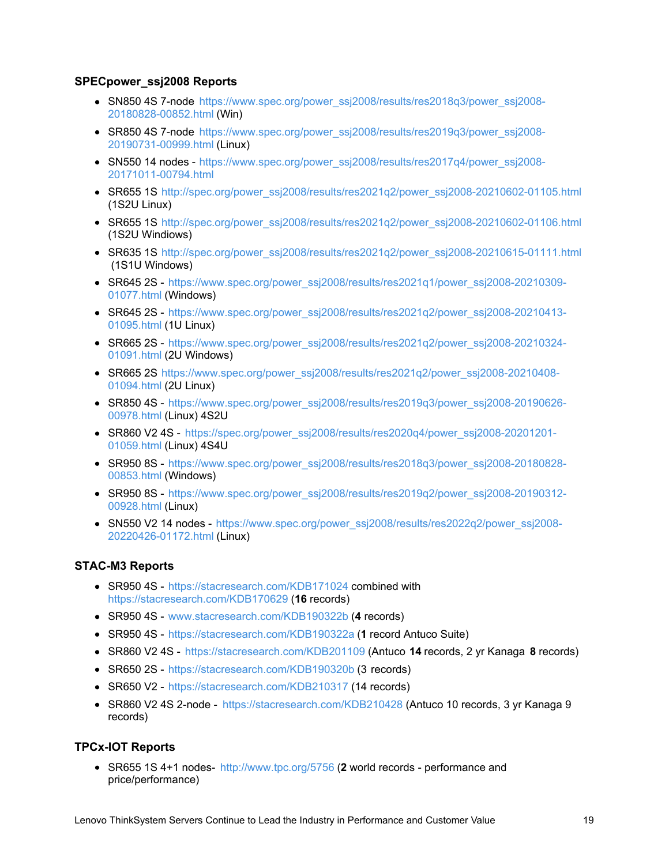### **SPECpower\_ssj2008 Reports**

- SN850 4S 7-node [https://www.spec.org/power\\_ssj2008/results/res2018q3/power\\_ssj2008-](https://www.spec.org/power_ssj2008/results/res2018q3/power_ssj2008-20180828-00852.html) 20180828-00852.html (Win)
- SR850 4S 7-node [https://www.spec.org/power\\_ssj2008/results/res2019q3/power\\_ssj2008-](https://www.spec.org/power_ssj2008/results/res2019q3/power_ssj2008-20190731-00999.html) 20190731-00999.html (Linux)
- SN550 14 nodes [https://www.spec.org/power\\_ssj2008/results/res2017q4/power\\_ssj2008-](https://www.spec.org/power_ssj2008/results/res2017q4/power_ssj2008-20171011-00794.html) 20171011-00794.html
- SR655 1S [http://spec.org/power\\_ssj2008/results/res2021q2/power\\_ssj2008-20210602-01105.html](http://spec.org/power_ssj2008/results/res2021q2/power_ssj2008-20210602-01105.html) (1S2U Linux)
- SR655 1S [http://spec.org/power\\_ssj2008/results/res2021q2/power\\_ssj2008-20210602-01106.html](http://spec.org/power_ssj2008/results/res2021q2/power_ssj2008-20210602-01106.html) (1S2U Windiows)
- SR635 1S [http://spec.org/power\\_ssj2008/results/res2021q2/power\\_ssj2008-20210615-01111.html](http://spec.org/power_ssj2008/results/res2021q2/power_ssj2008-20210615-01111.html) (1S1U Windows)
- SR645 2S [https://www.spec.org/power\\_ssj2008/results/res2021q1/power\\_ssj2008-20210309-](https://www.spec.org/power_ssj2008/results/res2021q1/power_ssj2008-20210309-01077.html) 01077.html (Windows)
- SR645 2S [https://www.spec.org/power\\_ssj2008/results/res2021q2/power\\_ssj2008-20210413-](https://www.spec.org/power_ssj2008/results/res2021q2/power_ssj2008-20210413-01095.html) 01095.html (1U Linux)
- SR665 2S [https://www.spec.org/power\\_ssj2008/results/res2021q2/power\\_ssj2008-20210324-](https://www.spec.org/power_ssj2008/results/res2021q2/power_ssj2008-20210324-01091.html) 01091.html (2U Windows)
- SR665 2S [https://www.spec.org/power\\_ssj2008/results/res2021q2/power\\_ssj2008-20210408-](https://www.spec.org/power_ssj2008/results/res2021q2/power_ssj2008-20210408-01094.html) 01094.html (2U Linux)
- SR850 4S [https://www.spec.org/power\\_ssj2008/results/res2019q3/power\\_ssj2008-20190626-](https://www.spec.org/power_ssj2008/results/res2019q3/power_ssj2008-20190626-00978.html) 00978.html (Linux) 4S2U
- SR860 V2 4S [https://spec.org/power\\_ssj2008/results/res2020q4/power\\_ssj2008-20201201-](https://spec.org/power_ssj2008/results/res2020q4/power_ssj2008-20201201-01059.html) 01059.html (Linux) 4S4U
- SR950 8S [https://www.spec.org/power\\_ssj2008/results/res2018q3/power\\_ssj2008-20180828-](https://www.spec.org/power_ssj2008/results/res2018q3/power_ssj2008-20180828-00853.html) 00853.html (Windows)
- SR950 8S [https://www.spec.org/power\\_ssj2008/results/res2019q2/power\\_ssj2008-20190312-](https://www.spec.org/power_ssj2008/results/res2019q2/power_ssj2008-20190312-00928.html) 00928.html (Linux)
- SN550 V2 14 nodes [https://www.spec.org/power\\_ssj2008/results/res2022q2/power\\_ssj2008-](https://www.spec.org/power_ssj2008/results/res2022q2/power_ssj2008-20220426-01172.html) 20220426-01172.html (Linux)

### <span id="page-18-0"></span>**STAC-M3 Reports**

- SR950 4S <https://stacresearch.com/KDB171024> combined with <https://stacresearch.com/KDB170629> (**16** records)
- SR950 4S [www.stacresearch.com/KDB190322b](http://www.stacresearch.com/KDB190322b) (**4** records)
- SR950 4S <https://stacresearch.com/KDB190322a> (**1** record Antuco Suite)
- SR860 V2 4S <https://stacresearch.com/KDB201109> (Antuco **14** records, 2 yr Kanaga **8** records)
- SR650 2S <https://stacresearch.com/KDB190320b> (3 records)
- SR650 V2 <https://stacresearch.com/KDB210317> (14 records)
- SR860 V2 4S 2-node <https://stacresearch.com/KDB210428> (Antuco 10 records, 3 yr Kanaga 9 records)

### <span id="page-18-1"></span>**TPCx-IOT Reports**

SR655 1S 4+1 nodes- <http://www.tpc.org/5756> (**2** world records - performance and price/performance)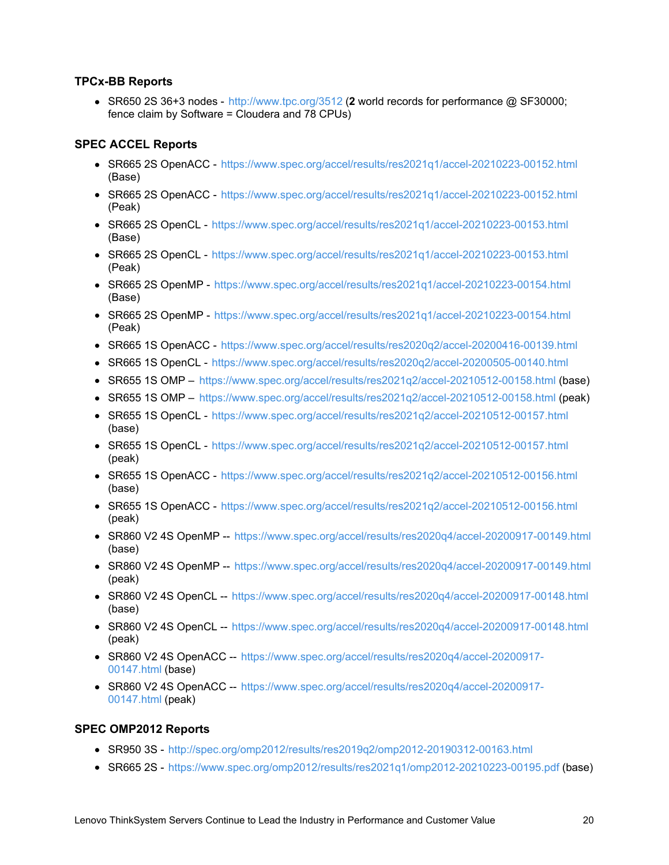### <span id="page-19-0"></span>**TPCx-BB Reports**

SR650 2S 36+3 nodes - <http://www.tpc.org/3512> (**2** world records for performance @ SF30000; fence claim by Software = Cloudera and 78 CPUs)

### <span id="page-19-1"></span>**SPEC ACCEL Reports**

- SR665 2S OpenACC <https://www.spec.org/accel/results/res2021q1/accel-20210223-00152.html> (Base)
- SR665 2S OpenACC <https://www.spec.org/accel/results/res2021q1/accel-20210223-00152.html> (Peak)
- SR665 2S OpenCL <https://www.spec.org/accel/results/res2021q1/accel-20210223-00153.html> (Base)
- SR665 2S OpenCL <https://www.spec.org/accel/results/res2021q1/accel-20210223-00153.html> (Peak)
- SR665 2S OpenMP <https://www.spec.org/accel/results/res2021q1/accel-20210223-00154.html> (Base)
- SR665 2S OpenMP <https://www.spec.org/accel/results/res2021q1/accel-20210223-00154.html> (Peak)
- SR665 1S OpenACC <https://www.spec.org/accel/results/res2020q2/accel-20200416-00139.html>
- SR665 1S OpenCL <https://www.spec.org/accel/results/res2020q2/accel-20200505-00140.html>
- SR655 1S OMP <https://www.spec.org/accel/results/res2021q2/accel-20210512-00158.html> (base)
- SR655 1S OMP <https://www.spec.org/accel/results/res2021q2/accel-20210512-00158.html> (peak)
- SR655 1S OpenCL <https://www.spec.org/accel/results/res2021q2/accel-20210512-00157.html> (base)
- SR655 1S OpenCL <https://www.spec.org/accel/results/res2021q2/accel-20210512-00157.html> (peak)
- SR655 1S OpenACC <https://www.spec.org/accel/results/res2021q2/accel-20210512-00156.html> (base)
- SR655 1S OpenACC <https://www.spec.org/accel/results/res2021q2/accel-20210512-00156.html> (peak)
- SR860 V2 4S OpenMP -- <https://www.spec.org/accel/results/res2020q4/accel-20200917-00149.html> (base)
- SR860 V2 4S OpenMP -- <https://www.spec.org/accel/results/res2020q4/accel-20200917-00149.html> (peak)
- SR860 V2 4S OpenCL -- <https://www.spec.org/accel/results/res2020q4/accel-20200917-00148.html> (base)
- SR860 V2 4S OpenCL -- <https://www.spec.org/accel/results/res2020q4/accel-20200917-00148.html> (peak)
- SR860 V2 4S OpenACC -- [https://www.spec.org/accel/results/res2020q4/accel-20200917-](https://www.spec.org/accel/results/res2020q4/accel-20200917-00147.html) 00147.html (base)
- SR860 V2 4S OpenACC -- [https://www.spec.org/accel/results/res2020q4/accel-20200917-](https://www.spec.org/accel/results/res2020q4/accel-20200917-00147.html) 00147.html (peak)

### <span id="page-19-2"></span>**SPEC OMP2012 Reports**

- SR950 3S <http://spec.org/omp2012/results/res2019q2/omp2012-20190312-00163.html>
- SR665 2S <https://www.spec.org/omp2012/results/res2021q1/omp2012-20210223-00195.pdf> (base)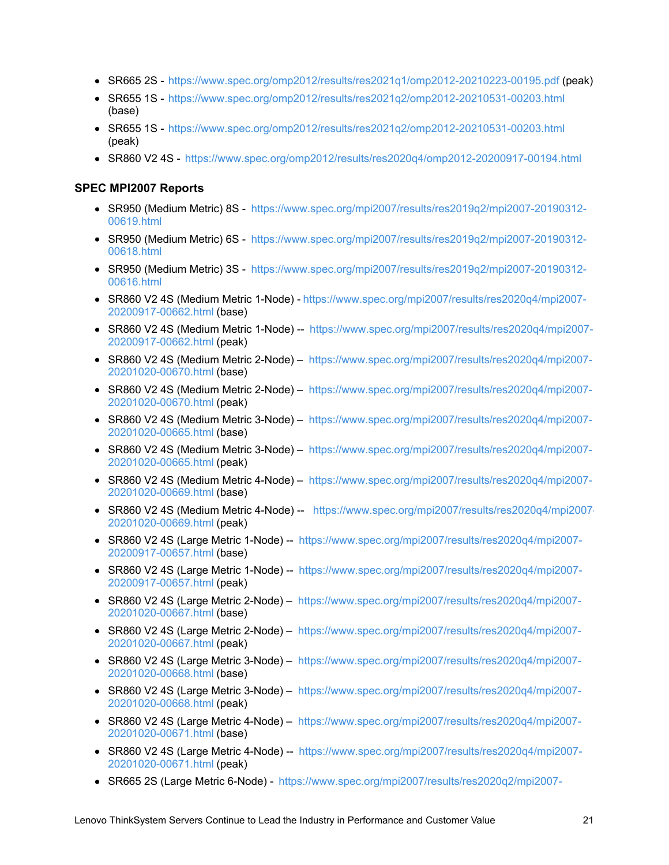- SR665 2S <https://www.spec.org/omp2012/results/res2021q1/omp2012-20210223-00195.pdf> (peak)
- SR655 1S <https://www.spec.org/omp2012/results/res2021q2/omp2012-20210531-00203.html> (base)
- SR655 1S <https://www.spec.org/omp2012/results/res2021q2/omp2012-20210531-00203.html> (peak)
- SR860 V2 4S <https://www.spec.org/omp2012/results/res2020q4/omp2012-20200917-00194.html>

#### <span id="page-20-0"></span>**SPEC MPI2007 Reports**

- SR950 (Medium Metric) 8S [https://www.spec.org/mpi2007/results/res2019q2/mpi2007-20190312-](https://www.spec.org/mpi2007/results/res2019q2/mpi2007-20190312-00619.html) 00619.html
- SR950 (Medium Metric) 6S [https://www.spec.org/mpi2007/results/res2019q2/mpi2007-20190312-](https://www.spec.org/mpi2007/results/res2019q2/mpi2007-20190312-00618.html) 00618.html
- SR950 (Medium Metric) 3S [https://www.spec.org/mpi2007/results/res2019q2/mpi2007-20190312-](https://www.spec.org/mpi2007/results/res2019q2/mpi2007-20190312-00616.html) 00616.html
- SR860 V2 4S (Medium Metric 1-Node) [https://www.spec.org/mpi2007/results/res2020q4/mpi2007-](https://www.spec.org/mpi2007/results/res2020q4/mpi2007-20200917-00662.html) 20200917-00662.html (base)
- SR860 V2 4S (Medium Metric 1-Node) -- [https://www.spec.org/mpi2007/results/res2020q4/mpi2007-](https://www.spec.org/mpi2007/results/res2020q4/mpi2007-20200917-00662.html) 20200917-00662.html (peak)
- SR860 V2 4S (Medium Metric 2-Node) [https://www.spec.org/mpi2007/results/res2020q4/mpi2007-](https://www.spec.org/mpi2007/results/res2020q4/mpi2007-20201020-00670.html) 20201020-00670.html (base)
- SR860 V2 4S (Medium Metric 2-Node) [https://www.spec.org/mpi2007/results/res2020q4/mpi2007-](https://www.spec.org/mpi2007/results/res2020q4/mpi2007-20201020-00670.html) 20201020-00670.html (peak)
- SR860 V2 4S (Medium Metric 3-Node) [https://www.spec.org/mpi2007/results/res2020q4/mpi2007-](https://www.spec.org/mpi2007/results/res2020q4/mpi2007-20201020-00665.html) 20201020-00665.html (base)
- SR860 V2 4S (Medium Metric 3-Node) [https://www.spec.org/mpi2007/results/res2020q4/mpi2007-](https://www.spec.org/mpi2007/results/res2020q4/mpi2007-20201020-00665.html) 20201020-00665.html (peak)
- SR860 V2 4S (Medium Metric 4-Node) [https://www.spec.org/mpi2007/results/res2020q4/mpi2007-](https://www.spec.org/mpi2007/results/res2020q4/mpi2007-20201020-00669.html) 20201020-00669.html (base)
- SR860 V2 4S (Medium Metric 4-Node) -- [https://www.spec.org/mpi2007/results/res2020q4/mpi2007-](https://www.spec.org/mpi2007/results/res2020q4/mpi2007-20201020-00669.html) 20201020-00669.html (peak)
- SR860 V2 4S (Large Metric 1-Node) -- [https://www.spec.org/mpi2007/results/res2020q4/mpi2007-](https://www.spec.org/mpi2007/results/res2020q4/mpi2007-20200917-00657.html) 20200917-00657.html (base)
- SR860 V2 4S (Large Metric 1-Node) -- [https://www.spec.org/mpi2007/results/res2020q4/mpi2007-](https://www.spec.org/mpi2007/results/res2020q4/mpi2007-20200917-00657.html) 20200917-00657.html (peak)
- SR860 V2 4S (Large Metric 2-Node) [https://www.spec.org/mpi2007/results/res2020q4/mpi2007-](https://www.spec.org/mpi2007/results/res2020q4/mpi2007-20201020-00667.html) 20201020-00667.html (base)
- SR860 V2 4S (Large Metric 2-Node) [https://www.spec.org/mpi2007/results/res2020q4/mpi2007-](https://www.spec.org/mpi2007/results/res2020q4/mpi2007-20201020-00667.html) 20201020-00667.html (peak)
- SR860 V2 4S (Large Metric 3-Node) [https://www.spec.org/mpi2007/results/res2020q4/mpi2007-](https://www.spec.org/mpi2007/results/res2020q4/mpi2007-20201020-00668.html) 20201020-00668.html (base)
- SR860 V2 4S (Large Metric 3-Node) [https://www.spec.org/mpi2007/results/res2020q4/mpi2007-](https://www.spec.org/mpi2007/results/res2020q4/mpi2007-20201020-00668.html) 20201020-00668.html (peak)
- SR860 V2 4S (Large Metric 4-Node) [https://www.spec.org/mpi2007/results/res2020q4/mpi2007-](https://www.spec.org/mpi2007/results/res2020q4/mpi2007-20201020-00671.html) 20201020-00671.html (base)
- SR860 V2 4S (Large Metric 4-Node) -- [https://www.spec.org/mpi2007/results/res2020q4/mpi2007-](https://www.spec.org/mpi2007/results/res2020q4/mpi2007-20201020-00671.html) 20201020-00671.html (peak)
- SR665 2S (Large Metric 6-Node) [https://www.spec.org/mpi2007/results/res2020q2/mpi2007-](https://www.spec.org/mpi2007/results/res2020q2/mpi2007-20200416-00641.html)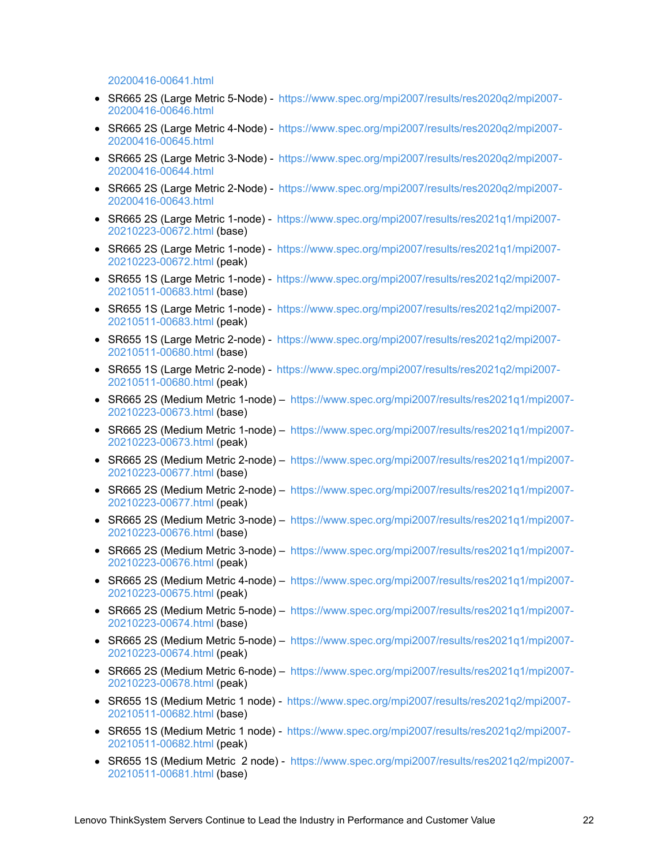20200416-00641.html

- SR665 2S (Large Metric 5-Node) [https://www.spec.org/mpi2007/results/res2020q2/mpi2007-](https://www.spec.org/mpi2007/results/res2020q2/mpi2007-20200416-00646.html) 20200416-00646.html
- SR665 2S (Large Metric 4-Node) [https://www.spec.org/mpi2007/results/res2020q2/mpi2007-](https://www.spec.org/mpi2007/results/res2020q2/mpi2007-20200416-00645.html) 20200416-00645.html
- SR665 2S (Large Metric 3-Node) [https://www.spec.org/mpi2007/results/res2020q2/mpi2007-](https://www.spec.org/mpi2007/results/res2020q2/mpi2007-20200416-00644.html) 20200416-00644.html
- SR665 2S (Large Metric 2-Node) [https://www.spec.org/mpi2007/results/res2020q2/mpi2007-](https://www.spec.org/mpi2007/results/res2020q2/mpi2007-20200416-00643.html) 20200416-00643.html
- SR665 2S (Large Metric 1-node) [https://www.spec.org/mpi2007/results/res2021q1/mpi2007-](https://www.spec.org/mpi2007/results/res2021q1/mpi2007-20210223-00672.html) 20210223-00672.html (base)
- SR665 2S (Large Metric 1-node) [https://www.spec.org/mpi2007/results/res2021q1/mpi2007-](https://www.spec.org/mpi2007/results/res2021q1/mpi2007-20210223-00672.html) 20210223-00672.html (peak)
- SR655 1S (Large Metric 1-node) [https://www.spec.org/mpi2007/results/res2021q2/mpi2007-](http://https//www.spec.org/mpi2007/results/res2021q2/mpi2007-20210511-00683.html) 20210511-00683.html (base)
- SR655 1S (Large Metric 1-node) [https://www.spec.org/mpi2007/results/res2021q2/mpi2007-](https://www.spec.org/mpi2007/results/res2021q2/mpi2007-20210511-00683.html) 20210511-00683.html (peak)
- SR655 1S (Large Metric 2-node) [https://www.spec.org/mpi2007/results/res2021q2/mpi2007-](https://www.spec.org/mpi2007/results/res2021q2/mpi2007-20210511-00680.html) 20210511-00680.html (base)
- SR655 1S (Large Metric 2-node) [https://www.spec.org/mpi2007/results/res2021q2/mpi2007-](http://https//www.spec.org/mpi2007/results/res2021q2/mpi2007-20210511-00680.html) 20210511-00680.html (peak)
- SR665 2S (Medium Metric 1-node) [https://www.spec.org/mpi2007/results/res2021q1/mpi2007-](https://www.spec.org/mpi2007/results/res2021q1/mpi2007-20210223-00673.html) 20210223-00673.html (base)
- SR665 2S (Medium Metric 1-node) [https://www.spec.org/mpi2007/results/res2021q1/mpi2007-](https://www.spec.org/mpi2007/results/res2021q1/mpi2007-20210223-00673.html) 20210223-00673.html (peak)
- SR665 2S (Medium Metric 2-node) [https://www.spec.org/mpi2007/results/res2021q1/mpi2007-](https://www.spec.org/mpi2007/results/res2021q1/mpi2007-20210223-00677.html) 20210223-00677.html (base)
- SR665 2S (Medium Metric 2-node) [https://www.spec.org/mpi2007/results/res2021q1/mpi2007-](https://www.spec.org/mpi2007/results/res2021q1/mpi2007-20210223-00677.html) 20210223-00677.html (peak)
- SR665 2S (Medium Metric 3-node) [https://www.spec.org/mpi2007/results/res2021q1/mpi2007-](https://www.spec.org/mpi2007/results/res2021q1/mpi2007-20210223-00676.html) 20210223-00676.html (base)
- SR665 2S (Medium Metric 3-node) [https://www.spec.org/mpi2007/results/res2021q1/mpi2007-](https://www.spec.org/mpi2007/results/res2021q1/mpi2007-20210223-00676.html) 20210223-00676.html (peak)
- SR665 2S (Medium Metric 4-node) [https://www.spec.org/mpi2007/results/res2021q1/mpi2007-](https://www.spec.org/mpi2007/results/res2021q1/mpi2007-20210223-00675.html) 20210223-00675.html (peak)
- SR665 2S (Medium Metric 5-node) [https://www.spec.org/mpi2007/results/res2021q1/mpi2007-](https://www.spec.org/mpi2007/results/res2021q1/mpi2007-20210223-00674.html) 20210223-00674.html (base)
- SR665 2S (Medium Metric 5-node) [https://www.spec.org/mpi2007/results/res2021q1/mpi2007-](https://www.spec.org/mpi2007/results/res2021q1/mpi2007-20210223-00674.html) 20210223-00674.html (peak)
- SR665 2S (Medium Metric 6-node) [https://www.spec.org/mpi2007/results/res2021q1/mpi2007-](https://www.spec.org/mpi2007/results/res2021q1/mpi2007-20210223-00678.html) 20210223-00678.html (peak)
- SR655 1S (Medium Metric 1 node) [https://www.spec.org/mpi2007/results/res2021q2/mpi2007-](https://www.spec.org/mpi2007/results/res2021q2/mpi2007-20210511-00682.html) 20210511-00682.html (base)
- SR655 1S (Medium Metric 1 node) [https://www.spec.org/mpi2007/results/res2021q2/mpi2007-](https://www.spec.org/mpi2007/results/res2021q2/mpi2007-20210511-00682.html) 20210511-00682.html (peak)
- SR655 1S (Medium Metric 2 node) [https://www.spec.org/mpi2007/results/res2021q2/mpi2007-](https://www.spec.org/mpi2007/results/res2021q2/mpi2007-20210511-00681.html) 20210511-00681.html (base)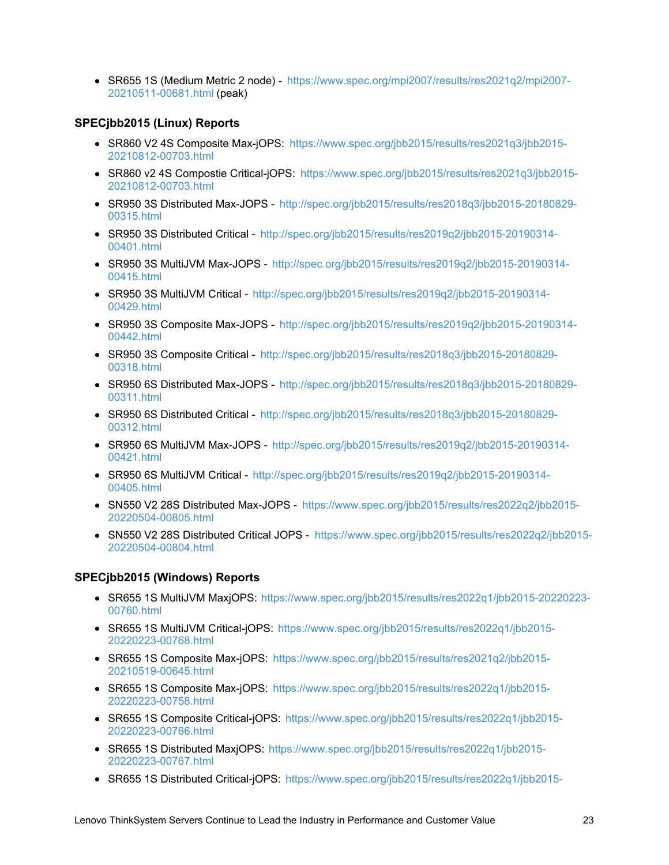SR655 1S (Medium Metric 2 node) - [https://www.spec.org/mpi2007/results/res2021q2/mpi2007-](https://www.spec.org/mpi2007/results/res2021q2/mpi2007-20210511-00681.html) 20210511-00681.html (peak)

### <span id="page-22-0"></span>**SPECjbb2015 (Linux) Reports**

- SR860 V2 4S Composite Max-jOPS: [https://www.spec.org/jbb2015/results/res2021q3/jbb2015-](https://www.spec.org/jbb2015/results/res2021q3/jbb2015-20210812-00703.html) 20210812-00703.html
- SR860 v2 4S Compostie Critical-jOPS: [https://www.spec.org/jbb2015/results/res2021q3/jbb2015-](https://www.spec.org/jbb2015/results/res2021q3/jbb2015-20210812-00703.html) 20210812-00703.html
- SR950 3S Distributed Max-JOPS [http://spec.org/jbb2015/results/res2018q3/jbb2015-20180829-](http://spec.org/jbb2015/results/res2018q3/jbb2015-20180829-00315.html) 00315.html
- SR950 3S Distributed Critical [http://spec.org/jbb2015/results/res2019q2/jbb2015-20190314-](http://spec.org/jbb2015/results/res2019q2/jbb2015-20190314-00401.html) 00401.html
- SR950 3S MultiJVM Max-JOPS [http://spec.org/jbb2015/results/res2019q2/jbb2015-20190314-](http://spec.org/jbb2015/results/res2019q2/jbb2015-20190314-00415.html) 00415.html
- SR950 3S MultiJVM Critical [http://spec.org/jbb2015/results/res2019q2/jbb2015-20190314-](http://spec.org/jbb2015/results/res2019q2/jbb2015-20190314-00429.html) 00429.html
- SR950 3S Composite Max-JOPS [http://spec.org/jbb2015/results/res2019q2/jbb2015-20190314-](http://spec.org/jbb2015/results/res2019q2/jbb2015-20190314-00442.html) 00442.html
- SR950 3S Composite Critical [http://spec.org/jbb2015/results/res2018q3/jbb2015-20180829-](http://spec.org/jbb2015/results/res2018q3/jbb2015-20180829-00318.html) 00318.html
- SR950 6S Distributed Max-JOPS [http://spec.org/jbb2015/results/res2018q3/jbb2015-20180829-](http://spec.org/jbb2015/results/res2018q3/jbb2015-20180829-00311.html) 00311.html
- SR950 6S Distributed Critical [http://spec.org/jbb2015/results/res2018q3/jbb2015-20180829-](http://spec.org/jbb2015/results/res2018q3/jbb2015-20180829-00312.html) 00312.html
- SR950 6S MultiJVM Max-JOPS [http://spec.org/jbb2015/results/res2019q2/jbb2015-20190314-](http://spec.org/jbb2015/results/res2019q2/jbb2015-20190314-00421.html) 00421.html
- SR950 6S MultiJVM Critical [http://spec.org/jbb2015/results/res2019q2/jbb2015-20190314-](http://spec.org/jbb2015/results/res2019q2/jbb2015-20190314-00405.html) 00405.html
- SN550 V2 28S Distributed Max-JOPS [https://www.spec.org/jbb2015/results/res2022q2/jbb2015-](https://www.spec.org/jbb2015/results/res2022q2/jbb2015-20220504-00805.html) 20220504-00805.html
- SN550 V2 28S Distributed Critical JOPS [https://www.spec.org/jbb2015/results/res2022q2/jbb2015-](https://www.spec.org/jbb2015/results/res2022q2/jbb2015-20220504-00804.html) 20220504-00804.html

### <span id="page-22-1"></span>**SPECjbb2015 (Windows) Reports**

- SR655 1S MultiJVM MaxjOPS: [https://www.spec.org/jbb2015/results/res2022q1/jbb2015-20220223-](https://www.spec.org/jbb2015/results/res2022q1/jbb2015-20220223-00760.html) 00760.html
- SR655 1S MultiJVM Critical-jOPS: [https://www.spec.org/jbb2015/results/res2022q1/jbb2015-](https://www.spec.org/jbb2015/results/res2022q1/jbb2015-20220223-00768.html) 20220223-00768.html
- SR655 1S Composite Max-jOPS: [https://www.spec.org/jbb2015/results/res2021q2/jbb2015-](https://www.spec.org/jbb2015/results/res2021q2/jbb2015-20210519-00645.html) 20210519-00645.html
- SR655 1S Composite Max-jOPS: [https://www.spec.org/jbb2015/results/res2022q1/jbb2015-](https://www.spec.org/jbb2015/results/res2022q1/jbb2015-20220223-00758.html) 20220223-00758.html
- SR655 1S Composite Critical-jOPS: [https://www.spec.org/jbb2015/results/res2022q1/jbb2015-](https://www.spec.org/jbb2015/results/res2022q1/jbb2015-20220223-00766.html) 20220223-00766.html
- SR655 1S Distributed MaxjOPS: [https://www.spec.org/jbb2015/results/res2022q1/jbb2015-](https://www.spec.org/jbb2015/results/res2022q1/jbb2015-20220223-00767.html) 20220223-00767.html
- SR655 1S Distributed Critical-jOPS: [https://www.spec.org/jbb2015/results/res2022q1/jbb2015-](https://www.spec.org/jbb2015/results/res2022q1/jbb2015-20220223-00765.html)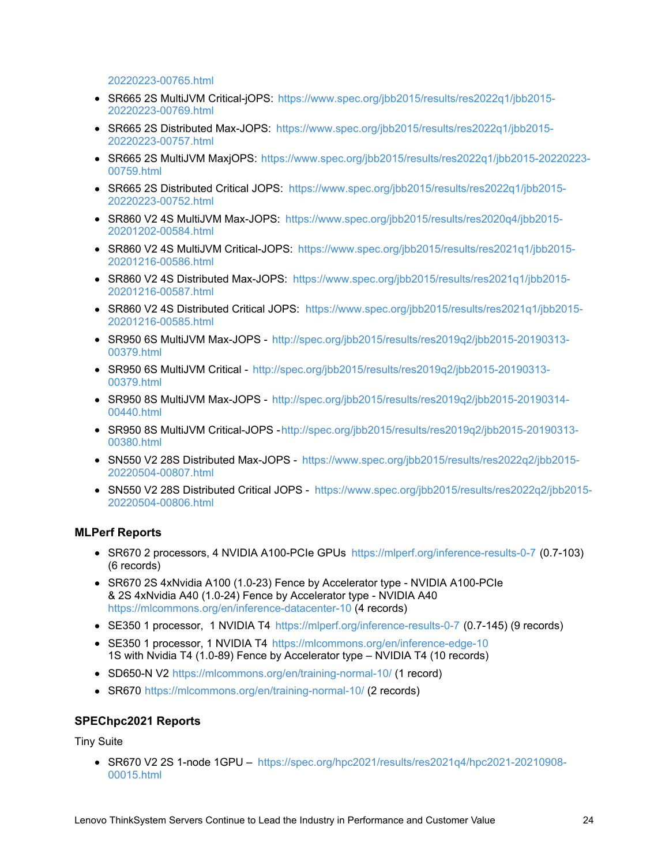20220223-00765.html

- SR665 2S MultiJVM Critical-jOPS: [https://www.spec.org/jbb2015/results/res2022q1/jbb2015-](https://www.spec.org/jbb2015/results/res2022q1/jbb2015-20220223-00769.html) 20220223-00769.html
- SR665 2S Distributed Max-JOPS: [https://www.spec.org/jbb2015/results/res2022q1/jbb2015-](https://www.spec.org/jbb2015/results/res2022q1/jbb2015-20220223-00757.html) 20220223-00757.html
- SR665 2S MultiJVM MaxjOPS: [https://www.spec.org/jbb2015/results/res2022q1/jbb2015-20220223-](https://www.spec.org/jbb2015/results/res2022q1/jbb2015-20220223-00759.html) 00759.html
- SR665 2S Distributed Critical JOPS: [https://www.spec.org/jbb2015/results/res2022q1/jbb2015-](https://www.spec.org/jbb2015/results/res2022q1/jbb2015-20220223-00752.html) 20220223-00752.html
- SR860 V2 4S MultiJVM Max-JOPS: [https://www.spec.org/jbb2015/results/res2020q4/jbb2015-](https://www.spec.org/jbb2015/results/res2020q4/jbb2015-20201202-00584.html) 20201202-00584.html
- SR860 V2 4S MultiJVM Critical-JOPS: [https://www.spec.org/jbb2015/results/res2021q1/jbb2015-](https://www.spec.org/jbb2015/results/res2021q1/jbb2015-20201216-00586.html) 20201216-00586.html
- SR860 V2 4S Distributed Max-JOPS: [https://www.spec.org/jbb2015/results/res2021q1/jbb2015-](https://www.spec.org/jbb2015/results/res2021q1/jbb2015-20201216-00587.html) 20201216-00587.html
- SR860 V2 4S Distributed Critical JOPS: [https://www.spec.org/jbb2015/results/res2021q1/jbb2015-](https://www.spec.org/jbb2015/results/res2021q1/jbb2015-20201216-00585.html) 20201216-00585.html
- SR950 6S MultiJVM Max-JOPS [http://spec.org/jbb2015/results/res2019q2/jbb2015-20190313-](http://spec.org/jbb2015/results/res2019q2/jbb2015-20190313-00379.html) 00379.html
- SR950 6S MultiJVM Critical [http://spec.org/jbb2015/results/res2019q2/jbb2015-20190313-](http://spec.org/jbb2015/results/res2019q2/jbb2015-20190313-00379.html) 00379.html
- SR950 8S MultiJVM Max-JOPS [http://spec.org/jbb2015/results/res2019q2/jbb2015-20190314-](http://spec.org/jbb2015/results/res2019q2/jbb2015-20190314-00440.html) 00440.html
- SR950 8S MultiJVM Critical-JOPS http://spec.org/jbb2015/results/res2019q2/jbb2015-20190313-00380.html
- SN550 V2 28S Distributed Max-JOPS [https://www.spec.org/jbb2015/results/res2022q2/jbb2015-](https://www.spec.org/jbb2015/results/res2022q2/jbb2015-20220504-00807.html) 20220504-00807.html
- SN550 V2 28S Distributed Critical JOPS [https://www.spec.org/jbb2015/results/res2022q2/jbb2015-](https://www.spec.org/jbb2015/results/res2022q2/jbb2015-20220504-00806.html) 20220504-00806.html

### <span id="page-23-0"></span>**MLPerf Reports**

- SR670 2 processors, 4 NVIDIA A100-PCIe GPUs <https://mlperf.org/inference-results-0-7> (0.7-103) (6 records)
- SR670 2S 4xNvidia A100 (1.0-23) Fence by Accelerator type NVIDIA A100-PCIe & 2S 4xNvidia A40 (1.0-24) Fence by Accelerator type - NVIDIA A40 <https://mlcommons.org/en/inference-datacenter-10> (4 records)
- SE350 1 processor, 1 NVIDIA T4 <https://mlperf.org/inference-results-0-7> (0.7-145) (9 records)
- SE350 1 processor, 1 NVIDIA T4 <https://mlcommons.org/en/inference-edge-10> 1S with Nvidia T4 (1.0-89) Fence by Accelerator type – NVIDIA T4 (10 records)
- SD650-N V2 <https://mlcommons.org/en/training-normal-10/> (1 record)
- SR670 <https://mlcommons.org/en/training-normal-10/> (2 records)

### <span id="page-23-1"></span>**SPEChpc2021 Reports**

Tiny Suite

SR670 V2 2S 1-node 1GPU – [https://spec.org/hpc2021/results/res2021q4/hpc2021-20210908-](https://spec.org/hpc2021/results/res2021q4/hpc2021-20210908-00015.html) 00015.html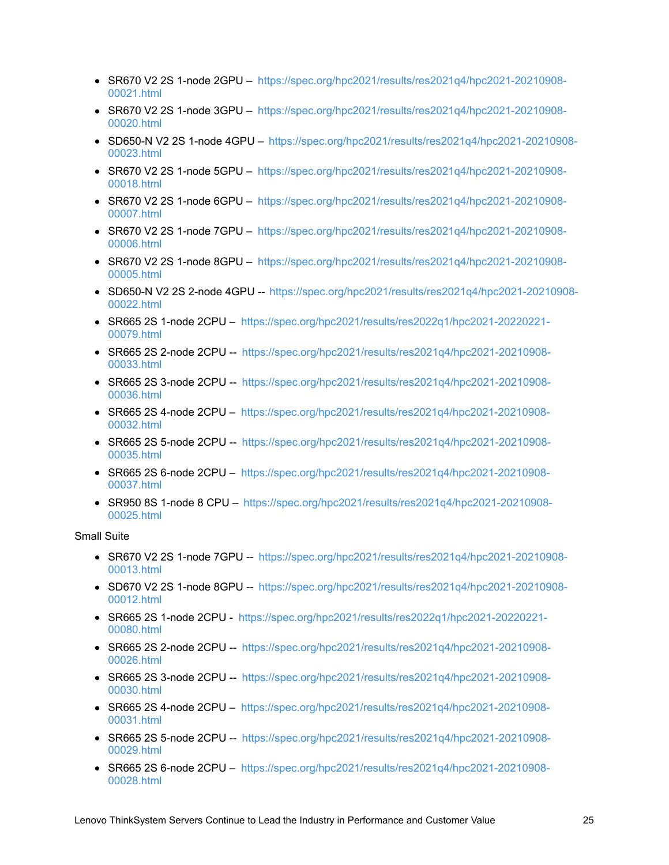- $\bullet$  SR670 V2 2S 1-node 2GPU [https://spec.org/hpc2021/results/res2021q4/hpc2021-20210908-](https://spec.org/hpc2021/results/res2021q4/hpc2021-20210908-00021.html) 00021.html
- SR670 V2 2S 1-node 3GPU [https://spec.org/hpc2021/results/res2021q4/hpc2021-20210908-](https://spec.org/hpc2021/results/res2021q4/hpc2021-20210908-00020.html) 00020.html
- SD650-N V2 2S 1-node 4GPU [https://spec.org/hpc2021/results/res2021q4/hpc2021-20210908-](https://spec.org/hpc2021/results/res2021q4/hpc2021-20210908-00023.html) 00023.html
- SR670 V2 2S 1-node 5GPU [https://spec.org/hpc2021/results/res2021q4/hpc2021-20210908-](https://spec.org/hpc2021/results/res2021q4/hpc2021-20210908-00018.html) 00018.html
- SR670 V2 2S 1-node 6GPU [https://spec.org/hpc2021/results/res2021q4/hpc2021-20210908-](https://spec.org/hpc2021/results/res2021q4/hpc2021-20210908-00007.html) 00007.html
- SR670 V2 2S 1-node 7GPU [https://spec.org/hpc2021/results/res2021q4/hpc2021-20210908-](https://spec.org/hpc2021/results/res2021q4/hpc2021-20210908-00006.html) 00006.html
- SR670 V2 2S 1-node 8GPU [https://spec.org/hpc2021/results/res2021q4/hpc2021-20210908-](https://spec.org/hpc2021/results/res2021q4/hpc2021-20210908-00005.html) 00005.html
- SD650-N V2 2S 2-node 4GPU -- [https://spec.org/hpc2021/results/res2021q4/hpc2021-20210908-](https://spec.org/hpc2021/results/res2021q4/hpc2021-20210908-00022.html) 00022.html
- SR665 2S 1-node 2CPU [https://spec.org/hpc2021/results/res2022q1/hpc2021-20220221-](https://spec.org/hpc2021/results/res2022q1/hpc2021-20220221-00079.html) 00079.html
- SR665 2S 2-node 2CPU -- [https://spec.org/hpc2021/results/res2021q4/hpc2021-20210908-](https://spec.org/hpc2021/results/res2021q4/hpc2021-20210908-00033.html) 00033.html
- SR665 2S 3-node 2CPU -- [https://spec.org/hpc2021/results/res2021q4/hpc2021-20210908-](https://spec.org/hpc2021/results/res2021q4/hpc2021-20210908-00036.html) 00036.html
- SR665 2S 4-node 2CPU [https://spec.org/hpc2021/results/res2021q4/hpc2021-20210908-](https://spec.org/hpc2021/results/res2021q4/hpc2021-20210908-00032.html) 00032.html
- $\bullet$  SR665 2S 5-node 2CPU -- [https://spec.org/hpc2021/results/res2021q4/hpc2021-20210908-](https://spec.org/hpc2021/results/res2021q4/hpc2021-20210908-00035.html) 00035.html
- SR665 2S 6-node 2CPU [https://spec.org/hpc2021/results/res2021q4/hpc2021-20210908-](https://spec.org/hpc2021/results/res2021q4/hpc2021-20210908-00037.html) 00037.html
- SR950 8S 1-node 8 CPU [https://spec.org/hpc2021/results/res2021q4/hpc2021-20210908-](https://spec.org/hpc2021/results/res2021q4/hpc2021-20210908-00025.html) 00025.html

Small Suite

- SR670 V2 2S 1-node 7GPU -- [https://spec.org/hpc2021/results/res2021q4/hpc2021-20210908-](https://spec.org/hpc2021/results/res2021q4/hpc2021-20210908-00013.html) 00013.html
- SD670 V2 2S 1-node 8GPU -- [https://spec.org/hpc2021/results/res2021q4/hpc2021-20210908-](https://spec.org/hpc2021/results/res2021q4/hpc2021-20210908-00012.html) 00012.html
- SR665 2S 1-node 2CPU [https://spec.org/hpc2021/results/res2022q1/hpc2021-20220221-](https://spec.org/hpc2021/results/res2022q1/hpc2021-20220221-00080.html) 00080.html
- SR665 2S 2-node 2CPU -- [https://spec.org/hpc2021/results/res2021q4/hpc2021-20210908-](https://spec.org/hpc2021/results/res2021q4/hpc2021-20210908-00026.html) 00026.html
- SR665 2S 3-node 2CPU -- [https://spec.org/hpc2021/results/res2021q4/hpc2021-20210908-](https://spec.org/hpc2021/results/res2021q4/hpc2021-20210908-00030.html) 00030.html
- SR665 2S 4-node 2CPU [https://spec.org/hpc2021/results/res2021q4/hpc2021-20210908-](https://spec.org/hpc2021/results/res2021q4/hpc2021-20210908-00031.html) 00031.html
- SR665 2S 5-node 2CPU -- [https://spec.org/hpc2021/results/res2021q4/hpc2021-20210908-](https://spec.org/hpc2021/results/res2021q4/hpc2021-20210908-00029.html) 00029.html
- SR665 2S 6-node 2CPU [https://spec.org/hpc2021/results/res2021q4/hpc2021-20210908-](https://spec.org/hpc2021/results/res2021q4/hpc2021-20210908-00028.html) 00028.html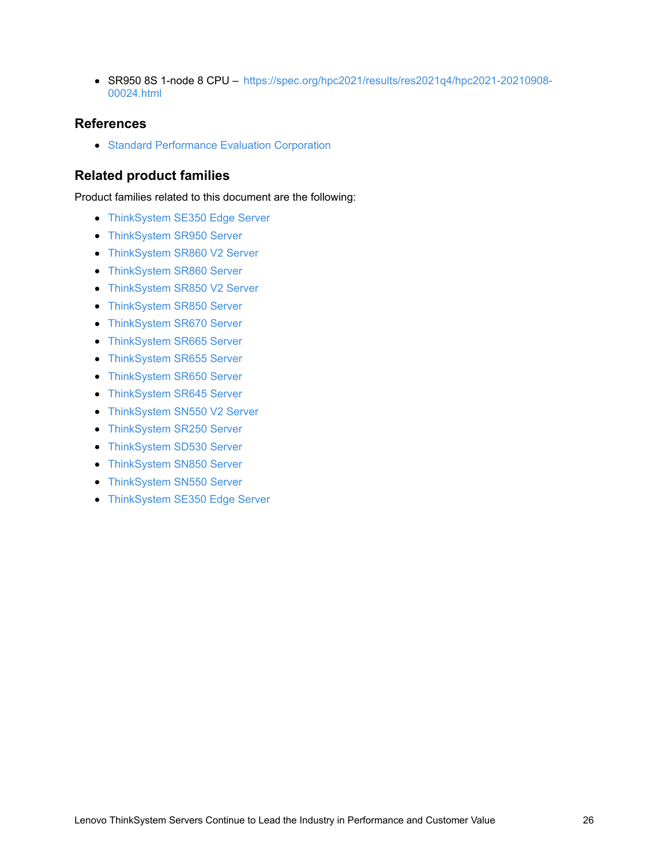SR950 8S 1-node 8 CPU – [https://spec.org/hpc2021/results/res2021q4/hpc2021-20210908-](https://spec.org/hpc2021/results/res2021q4/hpc2021-20210908-00024.html) 00024.html

### **References**

**• Standard [Performance](https://spec.org/) Evaluation Corporation** 

# **Related product families**

Product families related to this document are the following:

- [ThinkSystem](https://lenovopress.lenovo.com/servers/thinkedge/se350) SE350 Edge Server
- [ThinkSystem](https://lenovopress.lenovo.com/servers/thinksystem/sr950) SR950 Server
- [ThinkSystem](https://lenovopress.lenovo.com/servers/thinksystem-v2/sr860-v2) SR860 V2 Server
- **[ThinkSystem](https://lenovopress.lenovo.com/servers/thinksystem/sr860) SR860 Server**
- [ThinkSystem](https://lenovopress.lenovo.com/servers/thinksystem-v2/sr850-v2) SR850 V2 Server
- **[ThinkSystem](https://lenovopress.lenovo.com/servers/thinksystem/sr850) SR850 Server**
- **[ThinkSystem](https://lenovopress.lenovo.com/servers/thinksystem/sr670) SR670 Server**
- **[ThinkSystem](https://lenovopress.lenovo.com/servers/thinksystem/sr665) SR665 Server**
- **[ThinkSystem](https://lenovopress.lenovo.com/servers/thinksystem/sr655) SR655 Server**
- **[ThinkSystem](https://lenovopress.lenovo.com/servers/thinksystem/sr650) SR650 Server**
- **[ThinkSystem](https://lenovopress.lenovo.com/servers/thinksystem/sr645) SR645 Server**
- [ThinkSystem](https://lenovopress.lenovo.com/servers/thinksystem-v2/sn550-v2) SN550 V2 Server
- [ThinkSystem](https://lenovopress.lenovo.com/servers/thinksystem/sr250) SR250 Server
- **[ThinkSystem](https://lenovopress.lenovo.com/servers/thinksystem/sd530) SD530 Server**
- [ThinkSystem](https://lenovopress.lenovo.com/servers/thinksystem/sn850) SN850 Server
- **[ThinkSystem](https://lenovopress.lenovo.com/servers/thinksystem/sn550) SN550 Server**
- [ThinkSystem](https://lenovopress.lenovo.com/servers/thinksystem/se350) SE350 Edge Server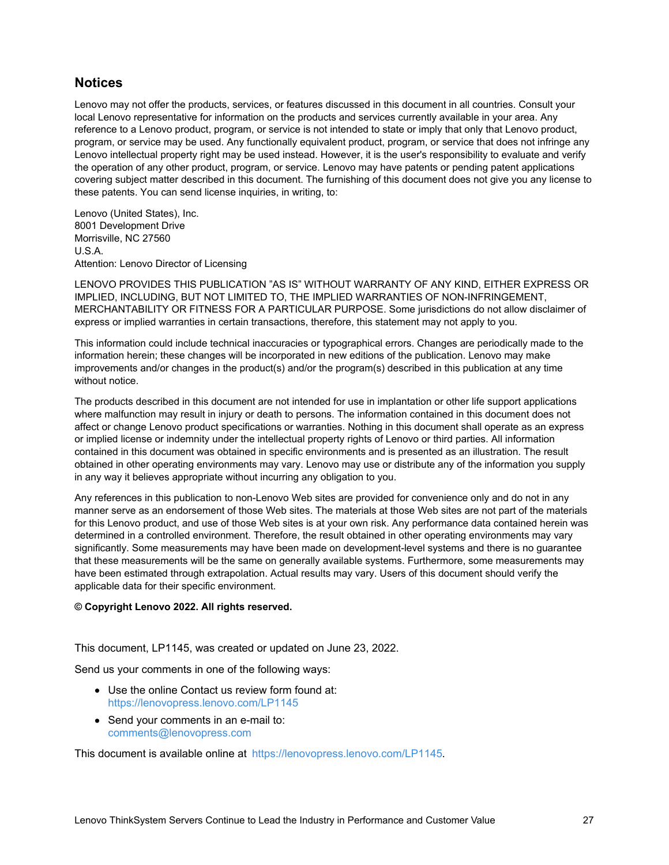# **Notices**

Lenovo may not offer the products, services, or features discussed in this document in all countries. Consult your local Lenovo representative for information on the products and services currently available in your area. Any reference to a Lenovo product, program, or service is not intended to state or imply that only that Lenovo product, program, or service may be used. Any functionally equivalent product, program, or service that does not infringe any Lenovo intellectual property right may be used instead. However, it is the user's responsibility to evaluate and verify the operation of any other product, program, or service. Lenovo may have patents or pending patent applications covering subject matter described in this document. The furnishing of this document does not give you any license to these patents. You can send license inquiries, in writing, to:

Lenovo (United States), Inc. 8001 Development Drive Morrisville, NC 27560 U.S.A. Attention: Lenovo Director of Licensing

LENOVO PROVIDES THIS PUBLICATION "AS IS" WITHOUT WARRANTY OF ANY KIND, EITHER EXPRESS OR IMPLIED, INCLUDING, BUT NOT LIMITED TO, THE IMPLIED WARRANTIES OF NON-INFRINGEMENT, MERCHANTABILITY OR FITNESS FOR A PARTICULAR PURPOSE. Some jurisdictions do not allow disclaimer of express or implied warranties in certain transactions, therefore, this statement may not apply to you.

This information could include technical inaccuracies or typographical errors. Changes are periodically made to the information herein; these changes will be incorporated in new editions of the publication. Lenovo may make improvements and/or changes in the product(s) and/or the program(s) described in this publication at any time without notice.

The products described in this document are not intended for use in implantation or other life support applications where malfunction may result in injury or death to persons. The information contained in this document does not affect or change Lenovo product specifications or warranties. Nothing in this document shall operate as an express or implied license or indemnity under the intellectual property rights of Lenovo or third parties. All information contained in this document was obtained in specific environments and is presented as an illustration. The result obtained in other operating environments may vary. Lenovo may use or distribute any of the information you supply in any way it believes appropriate without incurring any obligation to you.

Any references in this publication to non-Lenovo Web sites are provided for convenience only and do not in any manner serve as an endorsement of those Web sites. The materials at those Web sites are not part of the materials for this Lenovo product, and use of those Web sites is at your own risk. Any performance data contained herein was determined in a controlled environment. Therefore, the result obtained in other operating environments may vary significantly. Some measurements may have been made on development-level systems and there is no guarantee that these measurements will be the same on generally available systems. Furthermore, some measurements may have been estimated through extrapolation. Actual results may vary. Users of this document should verify the applicable data for their specific environment.

#### **© Copyright Lenovo 2022. All rights reserved.**

This document, LP1145, was created or updated on June 23, 2022.

Send us your comments in one of the following ways:

- Use the online Contact us review form found at: <https://lenovopress.lenovo.com/LP1145>
- Send your comments in an e-mail to: [comments@lenovopress.com](mailto:comments@lenovopress.com?subject=Feedback for LP1145)

This document is available online at <https://lenovopress.lenovo.com/LP1145>.